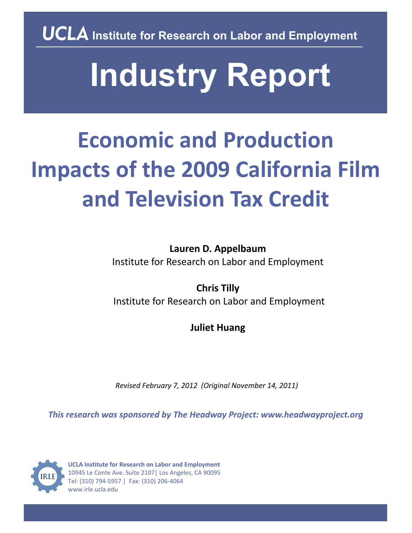**UCLA** Institute for Research on Labor and Employment

# **Industry Report**

# **Economic and Production Impacts of the 2009 California Film and Television Tax Credit**

**Lauren D. Appelbaum** Institute for Research on Labor and Employment

**Chris Tilly** Institute for Research on Labor and Employment

**Juliet Huang**

*Revised February 7, 2012 (Original November 14, 2011)*

*This research was sponsored by The Headway Project: www.headwayproject.org*



**UCLA Institute for Research on Labor and Employment**  10945 Le Conte Ave. Suite 2107| Los Angeles, CA 90095 Tel: (310) 794‐5957 | Fax: (310) 206‐4064 www.irle.ucla.edu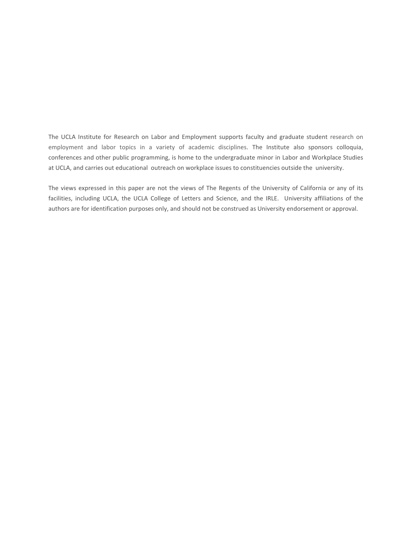The UCLA Institute for Research on Labor and Employment supports faculty and graduate student research on employment and labor topics in a variety of academic disciplines. The Institute also sponsors colloquia, conferences and other public programming, is home to the undergraduate minor in Labor and Workplace Studies at UCLA, and carries out educational outreach on workplace issues to constituencies outside the university.

The views expressed in this paper are not the views of The Regents of the University of California or any of its facilities, including UCLA, the UCLA College of Letters and Science, and the IRLE. University affiliations of the authors are for identification purposes only, and should not be construed as University endorsement or approval.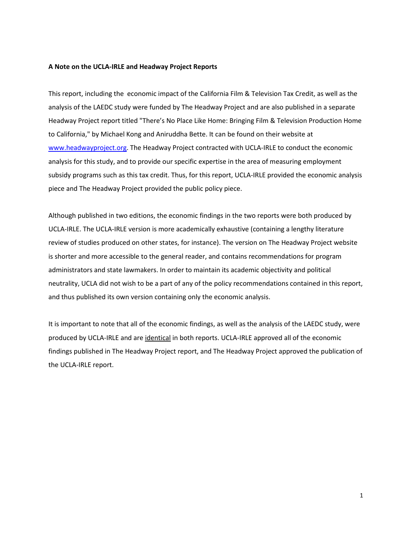# **A Note on the UCLA-IRLE and Headway Project Reports**

This report, including the economic impact of the California Film & Television Tax Credit, as well as the analysis of the LAEDC study were funded by The Headway Project and are also published in a separate Headway Project report titled "There's No Place Like Home: Bringing Film & Television Production Home to California," by Michael Kong and Aniruddha Bette. It can be found on their website at [www.headwayproject.org.](http://www.headwayproject.org/) The Headway Project contracted with UCLA-IRLE to conduct the economic analysis for this study, and to provide our specific expertise in the area of measuring employment subsidy programs such as this tax credit. Thus, for this report, UCLA-IRLE provided the economic analysis piece and The Headway Project provided the public policy piece.

Although published in two editions, the economic findings in the two reports were both produced by UCLA-IRLE. The UCLA-IRLE version is more academically exhaustive (containing a lengthy literature review of studies produced on other states, for instance). The version on The Headway Project website is shorter and more accessible to the general reader, and contains recommendations for program administrators and state lawmakers. In order to maintain its academic objectivity and political neutrality, UCLA did not wish to be a part of any of the policy recommendations contained in this report, and thus published its own version containing only the economic analysis.

It is important to note that all of the economic findings, as well as the analysis of the LAEDC study, were produced by UCLA-IRLE and are identical in both reports. UCLA-IRLE approved all of the economic findings published in The Headway Project report, and The Headway Project approved the publication of the UCLA-IRLE report.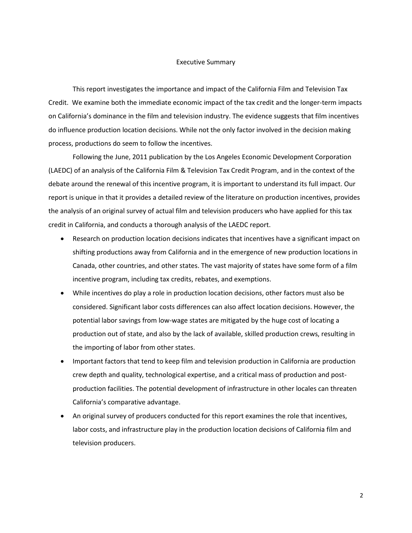# Executive Summary

This report investigates the importance and impact of the California Film and Television Tax Credit. We examine both the immediate economic impact of the tax credit and the longer-term impacts on California's dominance in the film and television industry. The evidence suggests that film incentives do influence production location decisions. While not the only factor involved in the decision making process, productions do seem to follow the incentives.

Following the June, 2011 publication by the Los Angeles Economic Development Corporation (LAEDC) of an analysis of the California Film & Television Tax Credit Program, and in the context of the debate around the renewal of this incentive program, it is important to understand its full impact. Our report is unique in that it provides a detailed review of the literature on production incentives, provides the analysis of an original survey of actual film and television producers who have applied for this tax credit in California, and conducts a thorough analysis of the LAEDC report.

- Research on production location decisions indicates that incentives have a significant impact on shifting productions away from California and in the emergence of new production locations in Canada, other countries, and other states. The vast majority of states have some form of a film incentive program, including tax credits, rebates, and exemptions.
- While incentives do play a role in production location decisions, other factors must also be considered. Significant labor costs differences can also affect location decisions. However, the potential labor savings from low-wage states are mitigated by the huge cost of locating a production out of state, and also by the lack of available, skilled production crews, resulting in the importing of labor from other states.
- Important factors that tend to keep film and television production in California are production crew depth and quality, technological expertise, and a critical mass of production and postproduction facilities. The potential development of infrastructure in other locales can threaten California's comparative advantage.
- An original survey of producers conducted for this report examines the role that incentives, labor costs, and infrastructure play in the production location decisions of California film and television producers.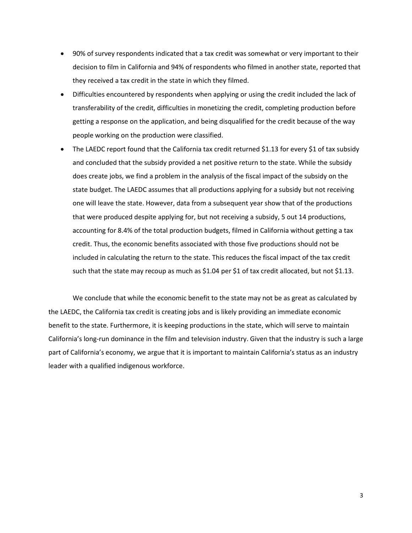- 90% of survey respondents indicated that a tax credit was somewhat or very important to their decision to film in California and 94% of respondents who filmed in another state, reported that they received a tax credit in the state in which they filmed.
- Difficulties encountered by respondents when applying or using the credit included the lack of transferability of the credit, difficulties in monetizing the credit, completing production before getting a response on the application, and being disqualified for the credit because of the way people working on the production were classified.
- The LAEDC report found that the California tax credit returned \$1.13 for every \$1 of tax subsidy and concluded that the subsidy provided a net positive return to the state. While the subsidy does create jobs, we find a problem in the analysis of the fiscal impact of the subsidy on the state budget. The LAEDC assumes that all productions applying for a subsidy but not receiving one will leave the state. However, data from a subsequent year show that of the productions that were produced despite applying for, but not receiving a subsidy, 5 out 14 productions, accounting for 8.4% of the total production budgets, filmed in California without getting a tax credit. Thus, the economic benefits associated with those five productions should not be included in calculating the return to the state. This reduces the fiscal impact of the tax credit such that the state may recoup as much as \$1.04 per \$1 of tax credit allocated, but not \$1.13.

We conclude that while the economic benefit to the state may not be as great as calculated by the LAEDC, the California tax credit is creating jobs and is likely providing an immediate economic benefit to the state. Furthermore, it is keeping productions in the state, which will serve to maintain California's long-run dominance in the film and television industry. Given that the industry is such a large part of California's economy, we argue that it is important to maintain California's status as an industry leader with a qualified indigenous workforce.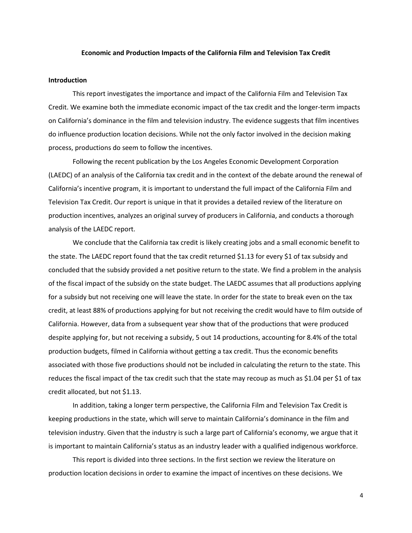# **Economic and Production Impacts of the California Film and Television Tax Credit**

# **Introduction**

This report investigates the importance and impact of the California Film and Television Tax Credit. We examine both the immediate economic impact of the tax credit and the longer-term impacts on California's dominance in the film and television industry. The evidence suggests that film incentives do influence production location decisions. While not the only factor involved in the decision making process, productions do seem to follow the incentives.

Following the recent publication by the Los Angeles Economic Development Corporation (LAEDC) of an analysis of the California tax credit and in the context of the debate around the renewal of California's incentive program, it is important to understand the full impact of the California Film and Television Tax Credit. Our report is unique in that it provides a detailed review of the literature on production incentives, analyzes an original survey of producers in California, and conducts a thorough analysis of the LAEDC report.

We conclude that the California tax credit is likely creating jobs and a small economic benefit to the state. The LAEDC report found that the tax credit returned \$1.13 for every \$1 of tax subsidy and concluded that the subsidy provided a net positive return to the state. We find a problem in the analysis of the fiscal impact of the subsidy on the state budget. The LAEDC assumes that all productions applying for a subsidy but not receiving one will leave the state. In order for the state to break even on the tax credit, at least 88% of productions applying for but not receiving the credit would have to film outside of California. However, data from a subsequent year show that of the productions that were produced despite applying for, but not receiving a subsidy, 5 out 14 productions, accounting for 8.4% of the total production budgets, filmed in California without getting a tax credit. Thus the economic benefits associated with those five productions should not be included in calculating the return to the state. This reduces the fiscal impact of the tax credit such that the state may recoup as much as \$1.04 per \$1 of tax credit allocated, but not \$1.13.

In addition, taking a longer term perspective, the California Film and Television Tax Credit is keeping productions in the state, which will serve to maintain California's dominance in the film and television industry. Given that the industry is such a large part of California's economy, we argue that it is important to maintain California's status as an industry leader with a qualified indigenous workforce.

This report is divided into three sections. In the first section we review the literature on production location decisions in order to examine the impact of incentives on these decisions. We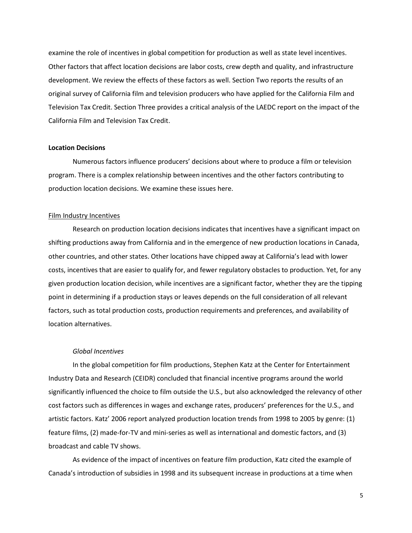examine the role of incentives in global competition for production as well as state level incentives. Other factors that affect location decisions are labor costs, crew depth and quality, and infrastructure development. We review the effects of these factors as well. Section Two reports the results of an original survey of California film and television producers who have applied for the California Film and Television Tax Credit. Section Three provides a critical analysis of the LAEDC report on the impact of the California Film and Television Tax Credit.

# **Location Decisions**

Numerous factors influence producers' decisions about where to produce a film or television program. There is a complex relationship between incentives and the other factors contributing to production location decisions. We examine these issues here.

# Film Industry Incentives

Research on production location decisions indicates that incentives have a significant impact on shifting productions away from California and in the emergence of new production locations in Canada, other countries, and other states. Other locations have chipped away at California's lead with lower costs, incentives that are easier to qualify for, and fewer regulatory obstacles to production. Yet, for any given production location decision, while incentives are a significant factor, whether they are the tipping point in determining if a production stays or leaves depends on the full consideration of all relevant factors, such as total production costs, production requirements and preferences, and availability of location alternatives.

# *Global Incentives*

In the global competition for film productions, Stephen Katz at the Center for Entertainment Industry Data and Research (CEIDR) concluded that financial incentive programs around the world significantly influenced the choice to film outside the U.S., but also acknowledged the relevancy of other cost factors such as differences in wages and exchange rates, producers' preferences for the U.S., and artistic factors. Katz' 2006 report analyzed production location trends from 1998 to 2005 by genre: (1) feature films, (2) made-for-TV and mini-series as well as international and domestic factors, and (3) broadcast and cable TV shows.

As evidence of the impact of incentives on feature film production, Katz cited the example of Canada's introduction of subsidies in 1998 and its subsequent increase in productions at a time when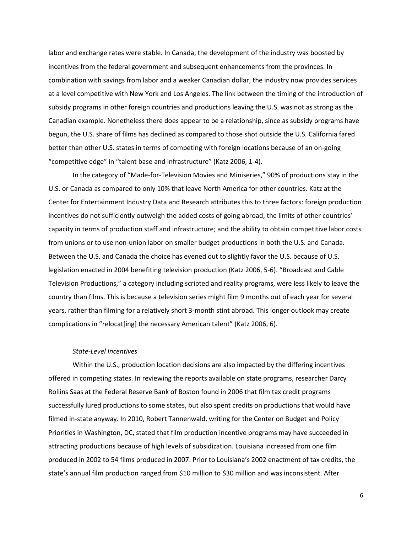labor and exchange rates were stable. In Canada, the development of the industry was boosted by incentives from the federal government and subsequent enhancements from the provinces. In combination with savings from labor and a weaker Canadian dollar, the industry now provides services at a level competitive with New York and Los Angeles. The link between the timing of the introduction of subsidy programs in other foreign countries and productions leaving the U.S. was not as strong as the Canadian example. Nonetheless there does appear to be a relationship, since as subsidy programs have begun, the U.S. share of films has declined as compared to those shot outside the U.S. California fared better than other U.S. states in terms of competing with foreign locations because of an on-going "competitive edge" in "talent base and infrastructure" (Katz 2006, 1-4).

In the category of "Made-for-Television Movies and Miniseries," 90% of productions stay in the U.S. or Canada as compared to only 10% that leave North America for other countries. Katz at the Center for Entertainment Industry Data and Research attributes this to three factors: foreign production incentives do not sufficiently outweigh the added costs of going abroad; the limits of other countries' capacity in terms of production staff and infrastructure; and the ability to obtain competitive labor costs from unions or to use non-union labor on smaller budget productions in both the U.S. and Canada. Between the U.S. and Canada the choice has evened out to slightly favor the U.S. because of U.S. legislation enacted in 2004 benefiting television production (Katz 2006, 5-6). "Broadcast and Cable Television Productions," a category including scripted and reality programs, were less likely to leave the country than films. This is because a television series might film 9 months out of each year for several years, rather than filming for a relatively short 3-month stint abroad. This longer outlook may create complications in "relocat[ing] the necessary American talent" (Katz 2006, 6).

# *State-Level Incentives*

Within the U.S., production location decisions are also impacted by the differing incentives offered in competing states. In reviewing the reports available on state programs, researcher Darcy Rollins Saas at the Federal Reserve Bank of Boston found in 2006 that film tax credit programs successfully lured productions to some states, but also spent credits on productions that would have filmed in-state anyway. In 2010, Robert Tannenwald, writing for the Center on Budget and Policy Priorities in Washington, DC, stated that film production incentive programs may have succeeded in attracting productions because of high levels of subsidization. Louisiana increased from one film produced in 2002 to 54 films produced in 2007. Prior to Louisiana's 2002 enactment of tax credits, the state's annual film production ranged from \$10 million to \$30 million and was inconsistent. After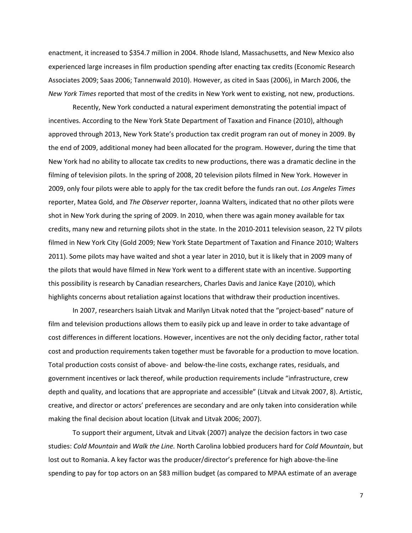enactment, it increased to \$354.7 million in 2004. Rhode Island, Massachusetts, and New Mexico also experienced large increases in film production spending after enacting tax credits (Economic Research Associates 2009; Saas 2006; Tannenwald 2010). However, as cited in Saas (2006), in March 2006, the *New York Times* reported that most of the credits in New York went to existing, not new, productions.

Recently, New York conducted a natural experiment demonstrating the potential impact of incentives. According to the New York State Department of Taxation and Finance (2010), although approved through 2013, New York State's production tax credit program ran out of money in 2009. By the end of 2009, additional money had been allocated for the program. However, during the time that New York had no ability to allocate tax credits to new productions, there was a dramatic decline in the filming of television pilots. In the spring of 2008, 20 television pilots filmed in New York. However in 2009, only four pilots were able to apply for the tax credit before the funds ran out. *Los Angeles Times* reporter, Matea Gold, and *The Observer* reporter, Joanna Walters, indicated that no other pilots were shot in New York during the spring of 2009. In 2010, when there was again money available for tax credits, many new and returning pilots shot in the state. In the 2010-2011 television season, 22 TV pilots filmed in New York City (Gold 2009; New York State Department of Taxation and Finance 2010; Walters 2011). Some pilots may have waited and shot a year later in 2010, but it is likely that in 2009 many of the pilots that would have filmed in New York went to a different state with an incentive. Supporting this possibility is research by Canadian researchers, Charles Davis and Janice Kaye (2010), which highlights concerns about retaliation against locations that withdraw their production incentives.

In 2007, researchers Isaiah Litvak and Marilyn Litvak noted that the "project-based" nature of film and television productions allows them to easily pick up and leave in order to take advantage of cost differences in different locations. However, incentives are not the only deciding factor, rather total cost and production requirements taken together must be favorable for a production to move location. Total production costs consist of above- and below-the-line costs, exchange rates, residuals, and government incentives or lack thereof, while production requirements include "infrastructure, crew depth and quality, and locations that are appropriate and accessible" (Litvak and Litvak 2007, 8). Artistic, creative, and director or actors' preferences are secondary and are only taken into consideration while making the final decision about location (Litvak and Litvak 2006; 2007).

To support their argument, Litvak and Litvak (2007) analyze the decision factors in two case studies: *Cold Mountain* and *Walk the Line.* North Carolina lobbied producers hard for *Cold Mountain*, but lost out to Romania. A key factor was the producer/director's preference for high above-the-line spending to pay for top actors on an \$83 million budget (as compared to MPAA estimate of an average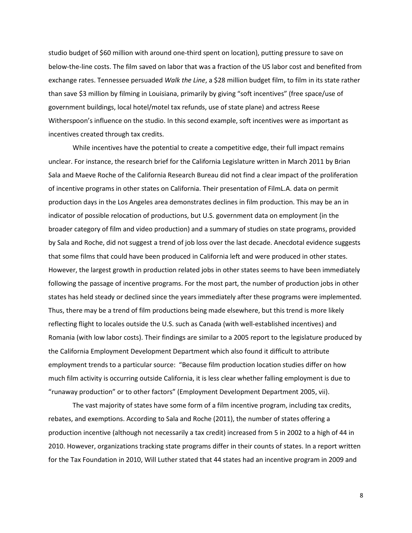studio budget of \$60 million with around one-third spent on location), putting pressure to save on below-the-line costs. The film saved on labor that was a fraction of the US labor cost and benefited from exchange rates. Tennessee persuaded *Walk the Line*, a \$28 million budget film, to film in its state rather than save \$3 million by filming in Louisiana, primarily by giving "soft incentives" (free space/use of government buildings, local hotel/motel tax refunds, use of state plane) and actress Reese Witherspoon's influence on the studio. In this second example, soft incentives were as important as incentives created through tax credits.

While incentives have the potential to create a competitive edge, their full impact remains unclear. For instance, the research brief for the California Legislature written in March 2011 by Brian Sala and Maeve Roche of the California Research Bureau did not find a clear impact of the proliferation of incentive programs in other states on California. Their presentation of FilmL.A. data on permit production days in the Los Angeles area demonstrates declines in film production. This may be an in indicator of possible relocation of productions, but U.S. government data on employment (in the broader category of film and video production) and a summary of studies on state programs, provided by Sala and Roche, did not suggest a trend of job loss over the last decade. Anecdotal evidence suggests that some films that could have been produced in California left and were produced in other states. However, the largest growth in production related jobs in other states seems to have been immediately following the passage of incentive programs. For the most part, the number of production jobs in other states has held steady or declined since the years immediately after these programs were implemented. Thus, there may be a trend of film productions being made elsewhere, but this trend is more likely reflecting flight to locales outside the U.S. such as Canada (with well-established incentives) and Romania (with low labor costs). Their findings are similar to a 2005 report to the legislature produced by the California Employment Development Department which also found it difficult to attribute employment trends to a particular source: "Because film production location studies differ on how much film activity is occurring outside California, it is less clear whether falling employment is due to "runaway production" or to other factors" (Employment Development Department 2005, vii).

The vast majority of states have some form of a film incentive program, including tax credits, rebates, and exemptions. According to Sala and Roche (2011), the number of states offering a production incentive (although not necessarily a tax credit) increased from 5 in 2002 to a high of 44 in 2010. However, organizations tracking state programs differ in their counts of states. In a report written for the Tax Foundation in 2010, Will Luther stated that 44 states had an incentive program in 2009 and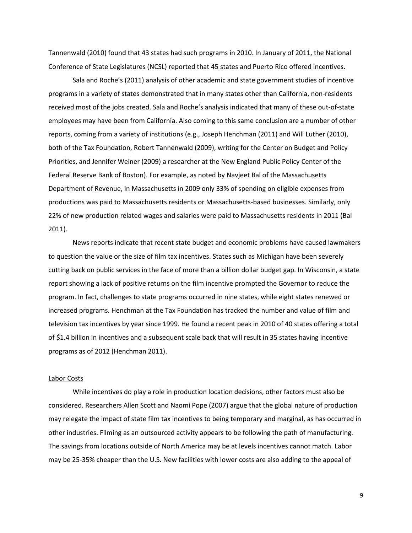Tannenwald (2010) found that 43 states had such programs in 2010. In January of 2011, the National Conference of State Legislatures (NCSL) reported that 45 states and Puerto Rico offered incentives.

Sala and Roche's (2011) analysis of other academic and state government studies of incentive programs in a variety of states demonstrated that in many states other than California, non-residents received most of the jobs created. Sala and Roche's analysis indicated that many of these out-of-state employees may have been from California. Also coming to this same conclusion are a number of other reports, coming from a variety of institutions (e.g., Joseph Henchman (2011) and Will Luther (2010), both of the Tax Foundation, Robert Tannenwald (2009), writing for the Center on Budget and Policy Priorities, and Jennifer Weiner (2009) a researcher at the New England Public Policy Center of the Federal Reserve Bank of Boston). For example, as noted by Navjeet Bal of the Massachusetts Department of Revenue, in Massachusetts in 2009 only 33% of spending on eligible expenses from productions was paid to Massachusetts residents or Massachusetts-based businesses. Similarly, only 22% of new production related wages and salaries were paid to Massachusetts residents in 2011 (Bal 2011).

News reports indicate that recent state budget and economic problems have caused lawmakers to question the value or the size of film tax incentives. States such as Michigan have been severely cutting back on public services in the face of more than a billion dollar budget gap. In Wisconsin, a state report showing a lack of positive returns on the film incentive prompted the Governor to reduce the program. In fact, challenges to state programs occurred in nine states, while eight states renewed or increased programs. Henchman at the Tax Foundation has tracked the number and value of film and television tax incentives by year since 1999. He found a recent peak in 2010 of 40 states offering a total of \$1.4 billion in incentives and a subsequent scale back that will result in 35 states having incentive programs as of 2012 (Henchman 2011).

# Labor Costs

While incentives do play a role in production location decisions, other factors must also be considered. Researchers Allen Scott and Naomi Pope (2007) argue that the global nature of production may relegate the impact of state film tax incentives to being temporary and marginal, as has occurred in other industries. Filming as an outsourced activity appears to be following the path of manufacturing. The savings from locations outside of North America may be at levels incentives cannot match. Labor may be 25-35% cheaper than the U.S. New facilities with lower costs are also adding to the appeal of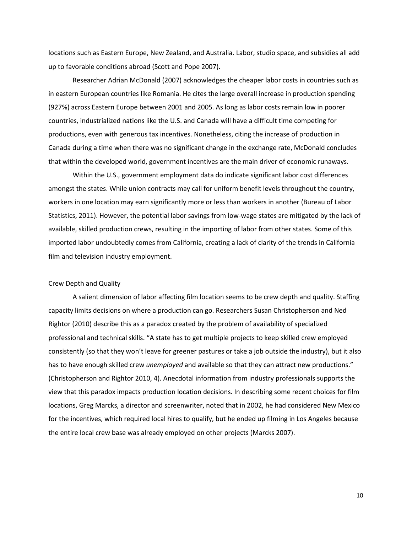locations such as Eastern Europe, New Zealand, and Australia. Labor, studio space, and subsidies all add up to favorable conditions abroad (Scott and Pope 2007).

Researcher Adrian McDonald (2007) acknowledges the cheaper labor costs in countries such as in eastern European countries like Romania. He cites the large overall increase in production spending (927%) across Eastern Europe between 2001 and 2005. As long as labor costs remain low in poorer countries, industrialized nations like the U.S. and Canada will have a difficult time competing for productions, even with generous tax incentives. Nonetheless, citing the increase of production in Canada during a time when there was no significant change in the exchange rate, McDonald concludes that within the developed world, government incentives are the main driver of economic runaways.

Within the U.S., government employment data do indicate significant labor cost differences amongst the states. While union contracts may call for uniform benefit levels throughout the country, workers in one location may earn significantly more or less than workers in another (Bureau of Labor Statistics, 2011). However, the potential labor savings from low-wage states are mitigated by the lack of available, skilled production crews, resulting in the importing of labor from other states. Some of this imported labor undoubtedly comes from California, creating a lack of clarity of the trends in California film and television industry employment.

# Crew Depth and Quality

A salient dimension of labor affecting film location seems to be crew depth and quality. Staffing capacity limits decisions on where a production can go. Researchers Susan Christopherson and Ned Rightor (2010) describe this as a paradox created by the problem of availability of specialized professional and technical skills. "A state has to get multiple projects to keep skilled crew employed consistently (so that they won't leave for greener pastures or take a job outside the industry), but it also has to have enough skilled crew *unemployed* and available so that they can attract new productions." (Christopherson and Rightor 2010, 4). Anecdotal information from industry professionals supports the view that this paradox impacts production location decisions. In describing some recent choices for film locations, Greg Marcks, a director and screenwriter, noted that in 2002, he had considered New Mexico for the incentives, which required local hires to qualify, but he ended up filming in Los Angeles because the entire local crew base was already employed on other projects (Marcks 2007).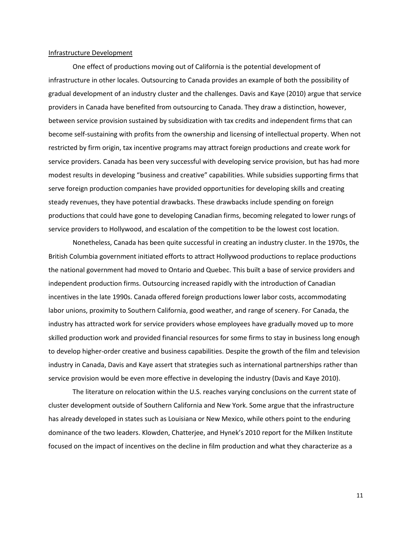# Infrastructure Development

One effect of productions moving out of California is the potential development of infrastructure in other locales. Outsourcing to Canada provides an example of both the possibility of gradual development of an industry cluster and the challenges. Davis and Kaye (2010) argue that service providers in Canada have benefited from outsourcing to Canada. They draw a distinction, however, between service provision sustained by subsidization with tax credits and independent firms that can become self-sustaining with profits from the ownership and licensing of intellectual property. When not restricted by firm origin, tax incentive programs may attract foreign productions and create work for service providers. Canada has been very successful with developing service provision, but has had more modest results in developing "business and creative" capabilities. While subsidies supporting firms that serve foreign production companies have provided opportunities for developing skills and creating steady revenues, they have potential drawbacks. These drawbacks include spending on foreign productions that could have gone to developing Canadian firms, becoming relegated to lower rungs of service providers to Hollywood, and escalation of the competition to be the lowest cost location.

Nonetheless, Canada has been quite successful in creating an industry cluster. In the 1970s, the British Columbia government initiated efforts to attract Hollywood productions to replace productions the national government had moved to Ontario and Quebec. This built a base of service providers and independent production firms. Outsourcing increased rapidly with the introduction of Canadian incentives in the late 1990s. Canada offered foreign productions lower labor costs, accommodating labor unions, proximity to Southern California, good weather, and range of scenery. For Canada, the industry has attracted work for service providers whose employees have gradually moved up to more skilled production work and provided financial resources for some firms to stay in business long enough to develop higher-order creative and business capabilities. Despite the growth of the film and television industry in Canada, Davis and Kaye assert that strategies such as international partnerships rather than service provision would be even more effective in developing the industry (Davis and Kaye 2010).

The literature on relocation within the U.S. reaches varying conclusions on the current state of cluster development outside of Southern California and New York. Some argue that the infrastructure has already developed in states such as Louisiana or New Mexico, while others point to the enduring dominance of the two leaders. Klowden, Chatterjee, and Hynek's 2010 report for the Milken Institute focused on the impact of incentives on the decline in film production and what they characterize as a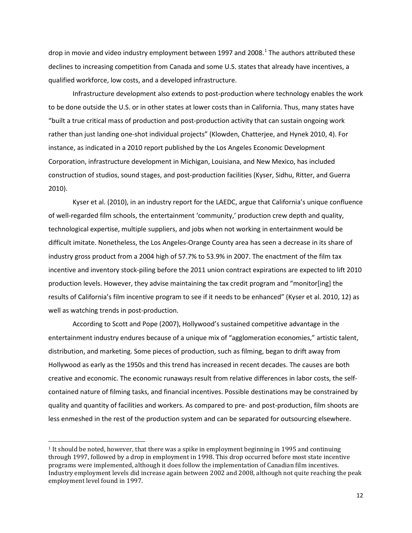drop in movie and video industry employment between [1](#page-13-0)997 and 2008.<sup>1</sup> The authors attributed these declines to increasing competition from Canada and some U.S. states that already have incentives, a qualified workforce, low costs, and a developed infrastructure.

Infrastructure development also extends to post-production where technology enables the work to be done outside the U.S. or in other states at lower costs than in California. Thus, many states have "built a true critical mass of production and post-production activity that can sustain ongoing work rather than just landing one-shot individual projects" (Klowden, Chatterjee, and Hynek 2010, 4). For instance, as indicated in a 2010 report published by the Los Angeles Economic Development Corporation, infrastructure development in Michigan, Louisiana, and New Mexico, has included construction of studios, sound stages, and post-production facilities (Kyser, Sidhu, Ritter, and Guerra 2010).

Kyser et al. (2010), in an industry report for the LAEDC, argue that California's unique confluence of well-regarded film schools, the entertainment 'community,' production crew depth and quality, technological expertise, multiple suppliers, and jobs when not working in entertainment would be difficult imitate. Nonetheless, the Los Angeles-Orange County area has seen a decrease in its share of industry gross product from a 2004 high of 57.7% to 53.9% in 2007. The enactment of the film tax incentive and inventory stock-piling before the 2011 union contract expirations are expected to lift 2010 production levels. However, they advise maintaining the tax credit program and "monitor[ing] the results of California's film incentive program to see if it needs to be enhanced" (Kyser et al. 2010, 12) as well as watching trends in post-production.

According to Scott and Pope (2007), Hollywood's sustained competitive advantage in the entertainment industry endures because of a unique mix of "agglomeration economies," artistic talent, distribution, and marketing. Some pieces of production, such as filming, began to drift away from Hollywood as early as the 1950s and this trend has increased in recent decades. The causes are both creative and economic. The economic runaways result from relative differences in labor costs, the selfcontained nature of filming tasks, and financial incentives. Possible destinations may be constrained by quality and quantity of facilities and workers. As compared to pre- and post-production, film shoots are less enmeshed in the rest of the production system and can be separated for outsourcing elsewhere.

 $\overline{a}$ 

<span id="page-13-0"></span><sup>1</sup> It should be noted, however, that there was a spike in employment beginning in 1995 and continuing through 1997, followed by a drop in employment in 1998. This drop occurred before most state incentive programs were implemented, although it does follow the implementation of Canadian film incentives. Industry employment levels did increase again between 2002 and 2008, although not quite reaching the peak employment level found in 1997.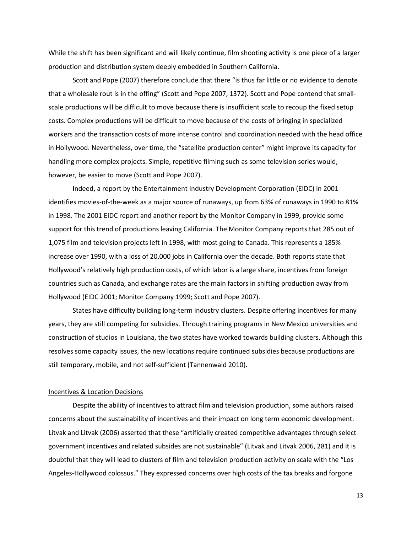While the shift has been significant and will likely continue, film shooting activity is one piece of a larger production and distribution system deeply embedded in Southern California.

Scott and Pope (2007) therefore conclude that there "is thus far little or no evidence to denote that a wholesale rout is in the offing" (Scott and Pope 2007, 1372). Scott and Pope contend that smallscale productions will be difficult to move because there is insufficient scale to recoup the fixed setup costs. Complex productions will be difficult to move because of the costs of bringing in specialized workers and the transaction costs of more intense control and coordination needed with the head office in Hollywood. Nevertheless, over time, the "satellite production center" might improve its capacity for handling more complex projects. Simple, repetitive filming such as some television series would, however, be easier to move (Scott and Pope 2007).

Indeed, a report by the Entertainment Industry Development Corporation (EIDC) in 2001 identifies movies-of-the-week as a major source of runaways, up from 63% of runaways in 1990 to 81% in 1998. The 2001 EIDC report and another report by the Monitor Company in 1999, provide some support for this trend of productions leaving California. The Monitor Company reports that 285 out of 1,075 film and television projects left in 1998, with most going to Canada. This represents a 185% increase over 1990, with a loss of 20,000 jobs in California over the decade. Both reports state that Hollywood's relatively high production costs, of which labor is a large share, incentives from foreign countries such as Canada, and exchange rates are the main factors in shifting production away from Hollywood (EIDC 2001; Monitor Company 1999; Scott and Pope 2007).

States have difficulty building long-term industry clusters. Despite offering incentives for many years, they are still competing for subsidies. Through training programs in New Mexico universities and construction of studios in Louisiana, the two states have worked towards building clusters. Although this resolves some capacity issues, the new locations require continued subsidies because productions are still temporary, mobile, and not self-sufficient (Tannenwald 2010).

# Incentives & Location Decisions

Despite the ability of incentives to attract film and television production, some authors raised concerns about the sustainability of incentives and their impact on long term economic development. Litvak and Litvak (2006) asserted that these "artificially created competitive advantages through select government incentives and related subsides are not sustainable" (Litvak and Litvak 2006, 281) and it is doubtful that they will lead to clusters of film and television production activity on scale with the "Los Angeles-Hollywood colossus." They expressed concerns over high costs of the tax breaks and forgone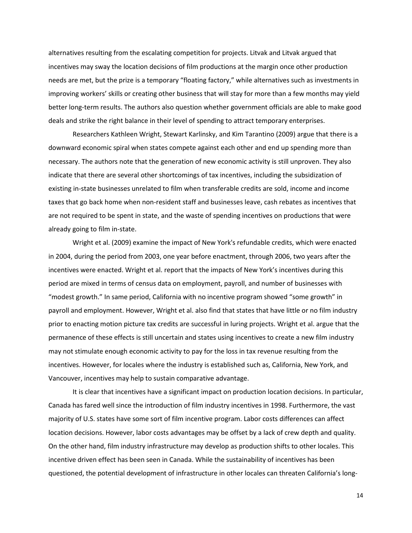alternatives resulting from the escalating competition for projects. Litvak and Litvak argued that incentives may sway the location decisions of film productions at the margin once other production needs are met, but the prize is a temporary "floating factory," while alternatives such as investments in improving workers' skills or creating other business that will stay for more than a few months may yield better long-term results. The authors also question whether government officials are able to make good deals and strike the right balance in their level of spending to attract temporary enterprises.

Researchers Kathleen Wright, Stewart Karlinsky, and Kim Tarantino (2009) argue that there is a downward economic spiral when states compete against each other and end up spending more than necessary. The authors note that the generation of new economic activity is still unproven. They also indicate that there are several other shortcomings of tax incentives, including the subsidization of existing in-state businesses unrelated to film when transferable credits are sold, income and income taxes that go back home when non-resident staff and businesses leave, cash rebates as incentives that are not required to be spent in state, and the waste of spending incentives on productions that were already going to film in-state.

Wright et al. (2009) examine the impact of New York's refundable credits, which were enacted in 2004, during the period from 2003, one year before enactment, through 2006, two years after the incentives were enacted. Wright et al. report that the impacts of New York's incentives during this period are mixed in terms of census data on employment, payroll, and number of businesses with "modest growth." In same period, California with no incentive program showed "some growth" in payroll and employment. However, Wright et al. also find that states that have little or no film industry prior to enacting motion picture tax credits are successful in luring projects. Wright et al. argue that the permanence of these effects is still uncertain and states using incentives to create a new film industry may not stimulate enough economic activity to pay for the loss in tax revenue resulting from the incentives. However, for locales where the industry is established such as, California, New York, and Vancouver, incentives may help to sustain comparative advantage.

It is clear that incentives have a significant impact on production location decisions. In particular, Canada has fared well since the introduction of film industry incentives in 1998. Furthermore, the vast majority of U.S. states have some sort of film incentive program. Labor costs differences can affect location decisions. However, labor costs advantages may be offset by a lack of crew depth and quality. On the other hand, film industry infrastructure may develop as production shifts to other locales. This incentive driven effect has been seen in Canada. While the sustainability of incentives has been questioned, the potential development of infrastructure in other locales can threaten California's long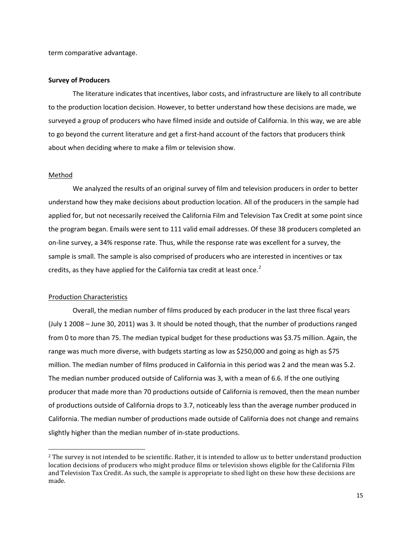term comparative advantage.

# **Survey of Producers**

The literature indicates that incentives, labor costs, and infrastructure are likely to all contribute to the production location decision. However, to better understand how these decisions are made, we surveyed a group of producers who have filmed inside and outside of California. In this way, we are able to go beyond the current literature and get a first-hand account of the factors that producers think about when deciding where to make a film or television show.

# Method

 $\overline{a}$ 

We analyzed the results of an original survey of film and television producers in order to better understand how they make decisions about production location. All of the producers in the sample had applied for, but not necessarily received the California Film and Television Tax Credit at some point since the program began. Emails were sent to 111 valid email addresses. Of these 38 producers completed an on-line survey, a 34% response rate. Thus, while the response rate was excellent for a survey, the sample is small. The sample is also comprised of producers who are interested in incentives or tax credits, as they have applied for the California tax credit at least once. $2$ 

# Production Characteristics

Overall, the median number of films produced by each producer in the last three fiscal years (July 1 2008 – June 30, 2011) was 3. It should be noted though, that the number of productions ranged from 0 to more than 75. The median typical budget for these productions was \$3.75 million. Again, the range was much more diverse, with budgets starting as low as \$250,000 and going as high as \$75 million. The median number of films produced in California in this period was 2 and the mean was 5.2. The median number produced outside of California was 3, with a mean of 6.6. If the one outlying producer that made more than 70 productions outside of California is removed, then the mean number of productions outside of California drops to 3.7, noticeably less than the average number produced in California. The median number of productions made outside of California does not change and remains slightly higher than the median number of in-state productions.

<span id="page-16-0"></span><sup>&</sup>lt;sup>2</sup> The survey is not intended to be scientific. Rather, it is intended to allow us to better understand production location decisions of producers who might produce films or television shows eligible for the California Film and Television Tax Credit. As such, the sample is appropriate to shed light on these how these decisions are made.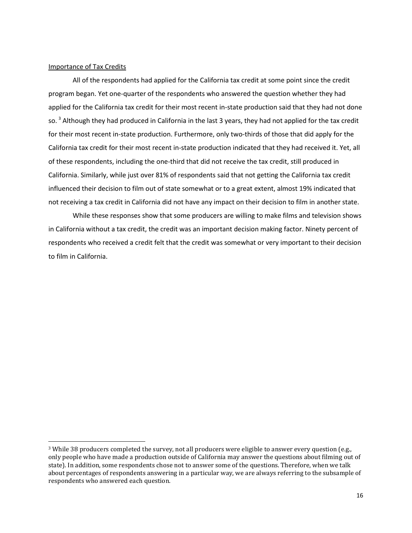# Importance of Tax Credits

 $\overline{a}$ 

All of the respondents had applied for the California tax credit at some point since the credit program began. Yet one-quarter of the respondents who answered the question whether they had applied for the California tax credit for their most recent in-state production said that they had not done so. <sup>[3](#page-17-0)</sup> Although they had produced in California in the last 3 years, they had not applied for the tax credit for their most recent in-state production. Furthermore, only two-thirds of those that did apply for the California tax credit for their most recent in-state production indicated that they had received it. Yet, all of these respondents, including the one-third that did not receive the tax credit, still produced in California. Similarly, while just over 81% of respondents said that not getting the California tax credit influenced their decision to film out of state somewhat or to a great extent, almost 19% indicated that not receiving a tax credit in California did not have any impact on their decision to film in another state.

While these responses show that some producers are willing to make films and television shows in California without a tax credit, the credit was an important decision making factor. Ninety percent of respondents who received a credit felt that the credit was somewhat or very important to their decision to film in California.

<span id="page-17-0"></span><sup>3</sup> While 38 producers completed the survey, not all producers were eligible to answer every question (e.g., only people who have made a production outside of California may answer the questions about filming out of state). In addition, some respondents chose not to answer some of the questions. Therefore, when we talk about percentages of respondents answering in a particular way, we are always referring to the subsample of respondents who answered each question.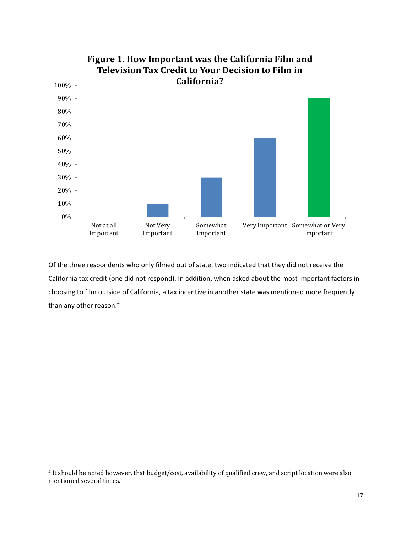

Of the three respondents who only filmed out of state, two indicated that they did not receive the California tax credit (one did not respond). In addition, when asked about the most important factors in choosing to film outside of California, a tax incentive in another state was mentioned more frequently than any other reason.<sup>[4](#page-18-0)</sup>

<span id="page-18-0"></span> $\overline{a}$ <sup>4</sup> It should be noted however, that budget/cost, availability of qualified crew, and script location were also mentioned several times.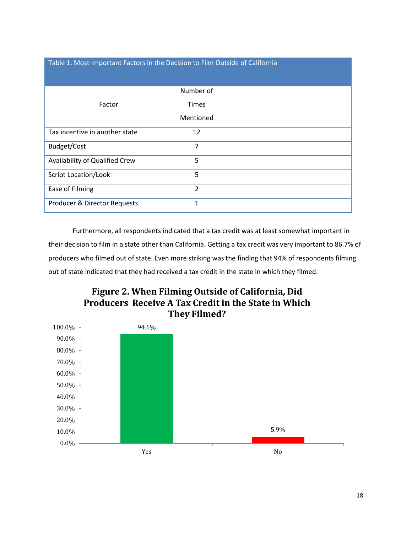# Table 1. Most Important Factors in the Decision to Film Outside of California

|                                | Number of    |  |
|--------------------------------|--------------|--|
| Factor                         | <b>Times</b> |  |
|                                | Mentioned    |  |
| Tax incentive in another state | 12           |  |
| Budget/Cost                    | 7            |  |
| Availability of Qualified Crew | 5            |  |
| <b>Script Location/Look</b>    | 5            |  |
| Ease of Filming                | 2            |  |
| Producer & Director Requests   | 1            |  |

Furthermore, all respondents indicated that a tax credit was at least somewhat important in their decision to film in a state other than California. Getting a tax credit was very important to 86.7% of producers who filmed out of state. Even more striking was the finding that 94% of respondents filming out of state indicated that they had received a tax credit in the state in which they filmed.



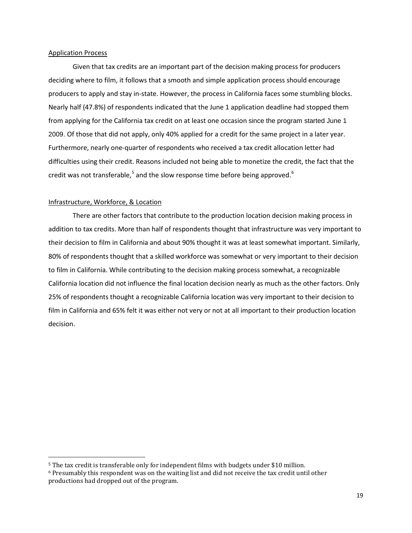# Application Process

Given that tax credits are an important part of the decision making process for producers deciding where to film, it follows that a smooth and simple application process should encourage producers to apply and stay in-state. However, the process in California faces some stumbling blocks. Nearly half (47.8%) of respondents indicated that the June 1 application deadline had stopped them from applying for the California tax credit on at least one occasion since the program started June 1 2009. Of those that did not apply, only 40% applied for a credit for the same project in a later year. Furthermore, nearly one-quarter of respondents who received a tax credit allocation letter had difficulties using their credit. Reasons included not being able to monetize the credit, the fact that the credit was not transferable,<sup>[5](#page-20-0)</sup> and the slow response time before being approved.<sup>[6](#page-20-1)</sup>

# Infrastructure, Workforce, & Location

 $\overline{a}$ 

There are other factors that contribute to the production location decision making process in addition to tax credits. More than half of respondents thought that infrastructure was very important to their decision to film in California and about 90% thought it was at least somewhat important. Similarly, 80% of respondents thought that a skilled workforce was somewhat or very important to their decision to film in California. While contributing to the decision making process somewhat, a recognizable California location did not influence the final location decision nearly as much as the other factors. Only 25% of respondents thought a recognizable California location was very important to their decision to film in California and 65% felt it was either not very or not at all important to their production location decision.

<span id="page-20-0"></span><sup>5</sup> The tax credit is transferable only for independent films with budgets under \$10 million.

<span id="page-20-1"></span> $6$  Presumably this respondent was on the waiting list and did not receive the tax credit until other productions had dropped out of the program.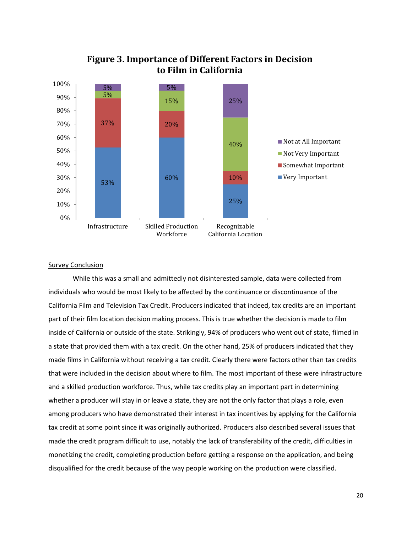

# **Figure 3. Importance of Different Factors in Decision to Film in California**

# **Survey Conclusion**

While this was a small and admittedly not disinterested sample, data were collected from individuals who would be most likely to be affected by the continuance or discontinuance of the California Film and Television Tax Credit. Producers indicated that indeed, tax credits are an important part of their film location decision making process. This is true whether the decision is made to film inside of California or outside of the state. Strikingly, 94% of producers who went out of state, filmed in a state that provided them with a tax credit. On the other hand, 25% of producers indicated that they made films in California without receiving a tax credit. Clearly there were factors other than tax credits that were included in the decision about where to film. The most important of these were infrastructure and a skilled production workforce. Thus, while tax credits play an important part in determining whether a producer will stay in or leave a state, they are not the only factor that plays a role, even among producers who have demonstrated their interest in tax incentives by applying for the California tax credit at some point since it was originally authorized. Producers also described several issues that made the credit program difficult to use, notably the lack of transferability of the credit, difficulties in monetizing the credit, completing production before getting a response on the application, and being disqualified for the credit because of the way people working on the production were classified.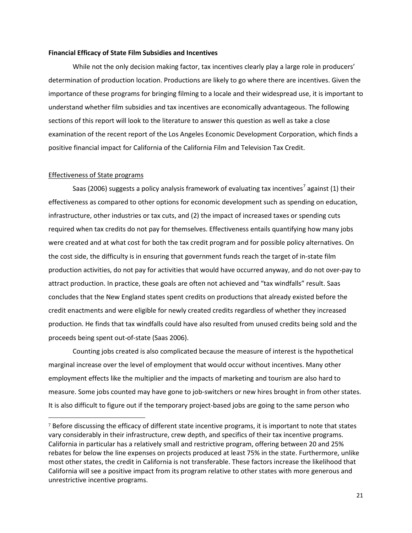# **Financial Efficacy of State Film Subsidies and Incentives**

While not the only decision making factor, tax incentives clearly play a large role in producers' determination of production location. Productions are likely to go where there are incentives. Given the importance of these programs for bringing filming to a locale and their widespread use, it is important to understand whether film subsidies and tax incentives are economically advantageous. The following sections of this report will look to the literature to answer this question as well as take a close examination of the recent report of the Los Angeles Economic Development Corporation, which finds a positive financial impact for California of the California Film and Television Tax Credit.

# Effectiveness of State programs

 $\overline{a}$ 

Saas (2006) suggests a policy analysis framework of evaluating tax incentives<sup>[7](#page-22-0)</sup> against (1) their effectiveness as compared to other options for economic development such as spending on education, infrastructure, other industries or tax cuts, and (2) the impact of increased taxes or spending cuts required when tax credits do not pay for themselves. Effectiveness entails quantifying how many jobs were created and at what cost for both the tax credit program and for possible policy alternatives. On the cost side, the difficulty is in ensuring that government funds reach the target of in-state film production activities, do not pay for activities that would have occurred anyway, and do not over-pay to attract production. In practice, these goals are often not achieved and "tax windfalls" result. Saas concludes that the New England states spent credits on productions that already existed before the credit enactments and were eligible for newly created credits regardless of whether they increased production. He finds that tax windfalls could have also resulted from unused credits being sold and the proceeds being spent out-of-state (Saas 2006).

Counting jobs created is also complicated because the measure of interest is the hypothetical marginal increase over the level of employment that would occur without incentives. Many other employment effects like the multiplier and the impacts of marketing and tourism are also hard to measure. Some jobs counted may have gone to job-switchers or new hires brought in from other states. It is also difficult to figure out if the temporary project-based jobs are going to the same person who

<span id="page-22-0"></span><sup>&</sup>lt;sup>7</sup> Before discussing the efficacy of different state incentive programs, it is important to note that states vary considerably in their infrastructure, crew depth, and specifics of their tax incentive programs. California in particular has a relatively small and restrictive program, offering between 20 and 25% rebates for below the line expenses on projects produced at least 75% in the state. Furthermore, unlike most other states, the credit in California is not transferable. These factors increase the likelihood that California will see a positive impact from its program relative to other states with more generous and unrestrictive incentive programs.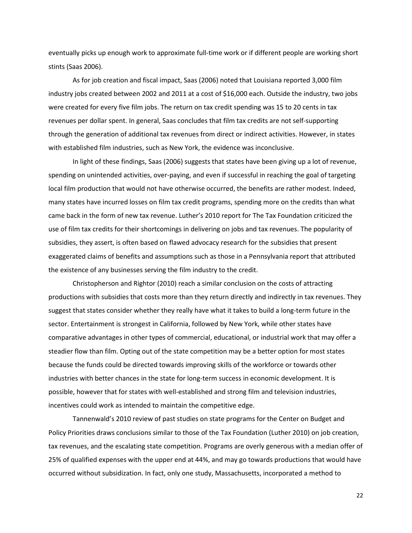eventually picks up enough work to approximate full-time work or if different people are working short stints (Saas 2006).

As for job creation and fiscal impact, Saas (2006) noted that Louisiana reported 3,000 film industry jobs created between 2002 and 2011 at a cost of \$16,000 each. Outside the industry, two jobs were created for every five film jobs. The return on tax credit spending was 15 to 20 cents in tax revenues per dollar spent. In general, Saas concludes that film tax credits are not self-supporting through the generation of additional tax revenues from direct or indirect activities. However, in states with established film industries, such as New York, the evidence was inconclusive.

In light of these findings, Saas (2006) suggests that states have been giving up a lot of revenue, spending on unintended activities, over-paying, and even if successful in reaching the goal of targeting local film production that would not have otherwise occurred, the benefits are rather modest. Indeed, many states have incurred losses on film tax credit programs, spending more on the credits than what came back in the form of new tax revenue. Luther's 2010 report for The Tax Foundation criticized the use of film tax credits for their shortcomings in delivering on jobs and tax revenues. The popularity of subsidies, they assert, is often based on flawed advocacy research for the subsidies that present exaggerated claims of benefits and assumptions such as those in a Pennsylvania report that attributed the existence of any businesses serving the film industry to the credit.

Christopherson and Rightor (2010) reach a similar conclusion on the costs of attracting productions with subsidies that costs more than they return directly and indirectly in tax revenues. They suggest that states consider whether they really have what it takes to build a long-term future in the sector. Entertainment is strongest in California, followed by New York, while other states have comparative advantages in other types of commercial, educational, or industrial work that may offer a steadier flow than film. Opting out of the state competition may be a better option for most states because the funds could be directed towards improving skills of the workforce or towards other industries with better chances in the state for long-term success in economic development. It is possible, however that for states with well-established and strong film and television industries, incentives could work as intended to maintain the competitive edge.

Tannenwald's 2010 review of past studies on state programs for the Center on Budget and Policy Priorities draws conclusions similar to those of the Tax Foundation (Luther 2010) on job creation, tax revenues, and the escalating state competition. Programs are overly generous with a median offer of 25% of qualified expenses with the upper end at 44%, and may go towards productions that would have occurred without subsidization. In fact, only one study, Massachusetts, incorporated a method to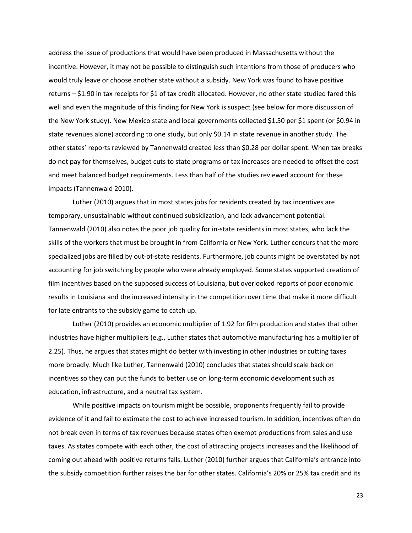address the issue of productions that would have been produced in Massachusetts without the incentive. However, it may not be possible to distinguish such intentions from those of producers who would truly leave or choose another state without a subsidy. New York was found to have positive returns – \$1.90 in tax receipts for \$1 of tax credit allocated. However, no other state studied fared this well and even the magnitude of this finding for New York is suspect (see below for more discussion of the New York study). New Mexico state and local governments collected \$1.50 per \$1 spent (or \$0.94 in state revenues alone) according to one study, but only \$0.14 in state revenue in another study. The other states' reports reviewed by Tannenwald created less than \$0.28 per dollar spent. When tax breaks do not pay for themselves, budget cuts to state programs or tax increases are needed to offset the cost and meet balanced budget requirements. Less than half of the studies reviewed account for these impacts (Tannenwald 2010).

Luther (2010) argues that in most states jobs for residents created by tax incentives are temporary, unsustainable without continued subsidization, and lack advancement potential. Tannenwald (2010) also notes the poor job quality for in-state residents in most states, who lack the skills of the workers that must be brought in from California or New York. Luther concurs that the more specialized jobs are filled by out-of-state residents. Furthermore, job counts might be overstated by not accounting for job switching by people who were already employed. Some states supported creation of film incentives based on the supposed success of Louisiana, but overlooked reports of poor economic results in Louisiana and the increased intensity in the competition over time that make it more difficult for late entrants to the subsidy game to catch up.

Luther (2010) provides an economic multiplier of 1.92 for film production and states that other industries have higher multipliers (e.g., Luther states that automotive manufacturing has a multiplier of 2.25). Thus, he argues that states might do better with investing in other industries or cutting taxes more broadly. Much like Luther, Tannenwald (2010) concludes that states should scale back on incentives so they can put the funds to better use on long-term economic development such as education, infrastructure, and a neutral tax system.

While positive impacts on tourism might be possible, proponents frequently fail to provide evidence of it and fail to estimate the cost to achieve increased tourism. In addition, incentives often do not break even in terms of tax revenues because states often exempt productions from sales and use taxes. As states compete with each other, the cost of attracting projects increases and the likelihood of coming out ahead with positive returns falls. Luther (2010) further argues that California's entrance into the subsidy competition further raises the bar for other states. California's 20% or 25% tax credit and its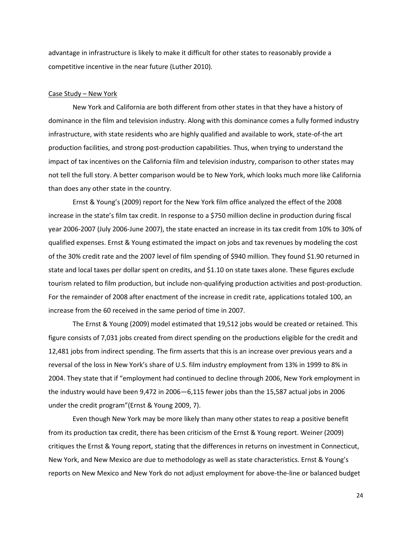advantage in infrastructure is likely to make it difficult for other states to reasonably provide a competitive incentive in the near future (Luther 2010).

# Case Study – New York

New York and California are both different from other states in that they have a history of dominance in the film and television industry. Along with this dominance comes a fully formed industry infrastructure, with state residents who are highly qualified and available to work, state-of-the art production facilities, and strong post-production capabilities. Thus, when trying to understand the impact of tax incentives on the California film and television industry, comparison to other states may not tell the full story. A better comparison would be to New York, which looks much more like California than does any other state in the country.

Ernst & Young's (2009) report for the New York film office analyzed the effect of the 2008 increase in the state's film tax credit. In response to a \$750 million decline in production during fiscal year 2006-2007 (July 2006-June 2007), the state enacted an increase in its tax credit from 10% to 30% of qualified expenses. Ernst & Young estimated the impact on jobs and tax revenues by modeling the cost of the 30% credit rate and the 2007 level of film spending of \$940 million. They found \$1.90 returned in state and local taxes per dollar spent on credits, and \$1.10 on state taxes alone. These figures exclude tourism related to film production, but include non-qualifying production activities and post-production. For the remainder of 2008 after enactment of the increase in credit rate, applications totaled 100, an increase from the 60 received in the same period of time in 2007.

The Ernst & Young (2009) model estimated that 19,512 jobs would be created or retained. This figure consists of 7,031 jobs created from direct spending on the productions eligible for the credit and 12,481 jobs from indirect spending. The firm asserts that this is an increase over previous years and a reversal of the loss in New York's share of U.S. film industry employment from 13% in 1999 to 8% in 2004. They state that if "employment had continued to decline through 2006, New York employment in the industry would have been 9,472 in 2006—6,115 fewer jobs than the 15,587 actual jobs in 2006 under the credit program"(Ernst & Young 2009, 7).

Even though New York may be more likely than many other states to reap a positive benefit from its production tax credit, there has been criticism of the Ernst & Young report. Weiner (2009) critiques the Ernst & Young report, stating that the differences in returns on investment in Connecticut, New York, and New Mexico are due to methodology as well as state characteristics. Ernst & Young's reports on New Mexico and New York do not adjust employment for above-the-line or balanced budget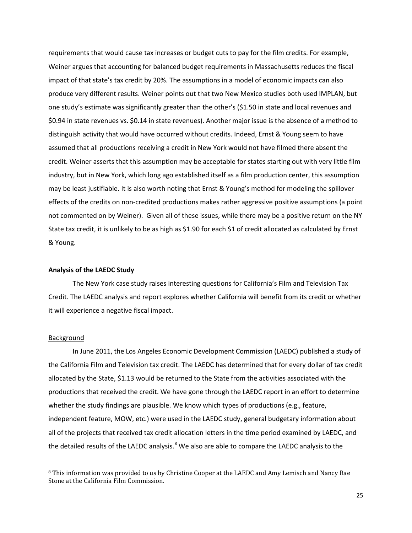requirements that would cause tax increases or budget cuts to pay for the film credits. For example, Weiner argues that accounting for balanced budget requirements in Massachusetts reduces the fiscal impact of that state's tax credit by 20%. The assumptions in a model of economic impacts can also produce very different results. Weiner points out that two New Mexico studies both used IMPLAN, but one study's estimate was significantly greater than the other's (\$1.50 in state and local revenues and \$0.94 in state revenues vs. \$0.14 in state revenues). Another major issue is the absence of a method to distinguish activity that would have occurred without credits. Indeed, Ernst & Young seem to have assumed that all productions receiving a credit in New York would not have filmed there absent the credit. Weiner asserts that this assumption may be acceptable for states starting out with very little film industry, but in New York, which long ago established itself as a film production center, this assumption may be least justifiable. It is also worth noting that Ernst & Young's method for modeling the spillover effects of the credits on non-credited productions makes rather aggressive positive assumptions (a point not commented on by Weiner). Given all of these issues, while there may be a positive return on the NY State tax credit, it is unlikely to be as high as \$1.90 for each \$1 of credit allocated as calculated by Ernst & Young.

# **Analysis of the LAEDC Study**

The New York case study raises interesting questions for California's Film and Television Tax Credit. The LAEDC analysis and report explores whether California will benefit from its credit or whether it will experience a negative fiscal impact.

# Background

 $\overline{a}$ 

In June 2011, the Los Angeles Economic Development Commission (LAEDC) published a study of the California Film and Television tax credit. The LAEDC has determined that for every dollar of tax credit allocated by the State, \$1.13 would be returned to the State from the activities associated with the productions that received the credit. We have gone through the LAEDC report in an effort to determine whether the study findings are plausible. We know which types of productions (e.g., feature, independent feature, MOW, etc.) were used in the LAEDC study, general budgetary information about all of the projects that received tax credit allocation letters in the time period examined by LAEDC, and the detailed results of the LAEDC analysis.<sup>[8](#page-26-0)</sup> We also are able to compare the LAEDC analysis to the

<span id="page-26-0"></span><sup>8</sup> This information was provided to us by Christine Cooper at the LAEDC and Amy Lemisch and Nancy Rae Stone at the California Film Commission.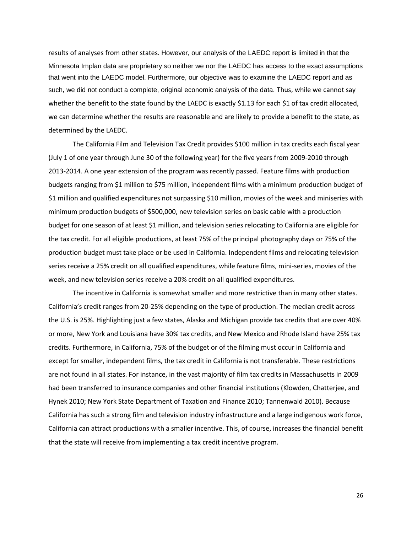results of analyses from other states. However, our analysis of the LAEDC report is limited in that the Minnesota Implan data are proprietary so neither we nor the LAEDC has access to the exact assumptions that went into the LAEDC model. Furthermore, our objective was to examine the LAEDC report and as such, we did not conduct a complete, original economic analysis of the data. Thus, while we cannot say whether the benefit to the state found by the LAEDC is exactly \$1.13 for each \$1 of tax credit allocated, we can determine whether the results are reasonable and are likely to provide a benefit to the state, as determined by the LAEDC.

The California Film and Television Tax Credit provides \$100 million in tax credits each fiscal year (July 1 of one year through June 30 of the following year) for the five years from 2009-2010 through 2013-2014. A one year extension of the program was recently passed. Feature films with production budgets ranging from \$1 million to \$75 million, independent films with a minimum production budget of \$1 million and qualified expenditures not surpassing \$10 million, movies of the week and miniseries with minimum production budgets of \$500,000, new television series on basic cable with a production budget for one season of at least \$1 million, and television series relocating to California are eligible for the tax credit. For all eligible productions, at least 75% of the principal photography days or 75% of the production budget must take place or be used in California. Independent films and relocating television series receive a 25% credit on all qualified expenditures, while feature films, mini-series, movies of the week, and new television series receive a 20% credit on all qualified expenditures.

The incentive in California is somewhat smaller and more restrictive than in many other states. California's credit ranges from 20-25% depending on the type of production. The median credit across the U.S. is 25%. Highlighting just a few states, Alaska and Michigan provide tax credits that are over 40% or more, New York and Louisiana have 30% tax credits, and New Mexico and Rhode Island have 25% tax credits. Furthermore, in California, 75% of the budget or of the filming must occur in California and except for smaller, independent films, the tax credit in California is not transferable. These restrictions are not found in all states. For instance, in the vast majority of film tax credits in Massachusetts in 2009 had been transferred to insurance companies and other financial institutions (Klowden, Chatterjee, and Hynek 2010; New York State Department of Taxation and Finance 2010; Tannenwald 2010). Because California has such a strong film and television industry infrastructure and a large indigenous work force, California can attract productions with a smaller incentive. This, of course, increases the financial benefit that the state will receive from implementing a tax credit incentive program.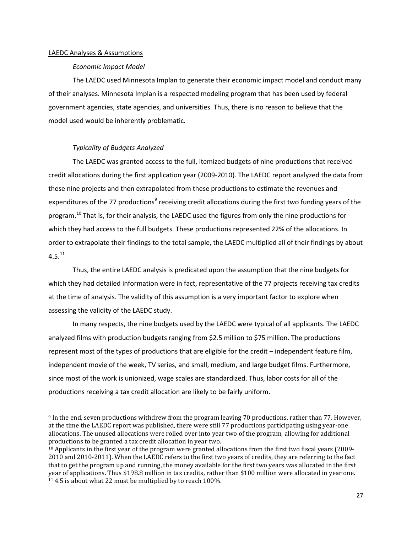# LAEDC Analyses & Assumptions

 $\overline{a}$ 

# *Economic Impact Model*

The LAEDC used Minnesota Implan to generate their economic impact model and conduct many of their analyses. Minnesota Implan is a respected modeling program that has been used by federal government agencies, state agencies, and universities. Thus, there is no reason to believe that the model used would be inherently problematic.

# *Typicality of Budgets Analyzed*

The LAEDC was granted access to the full, itemized budgets of nine productions that received credit allocations during the first application year (2009-2010). The LAEDC report analyzed the data from these nine projects and then extrapolated from these productions to estimate the revenues and expenditures of the 77 productions<sup>[9](#page-28-0)</sup> receiving credit allocations during the first two funding years of the program.<sup>[10](#page-28-1)</sup> That is, for their analysis, the LAEDC used the figures from only the nine productions for which they had access to the full budgets. These productions represented 22% of the allocations. In order to extrapolate their findings to the total sample, the LAEDC multiplied all of their findings by about  $4.5.<sup>11</sup>$  $4.5.<sup>11</sup>$  $4.5.<sup>11</sup>$ 

Thus, the entire LAEDC analysis is predicated upon the assumption that the nine budgets for which they had detailed information were in fact, representative of the 77 projects receiving tax credits at the time of analysis. The validity of this assumption is a very important factor to explore when assessing the validity of the LAEDC study.

In many respects, the nine budgets used by the LAEDC were typical of all applicants. The LAEDC analyzed films with production budgets ranging from \$2.5 million to \$75 million. The productions represent most of the types of productions that are eligible for the credit – independent feature film, independent movie of the week, TV series, and small, medium, and large budget films. Furthermore, since most of the work is unionized, wage scales are standardized. Thus, labor costs for all of the productions receiving a tax credit allocation are likely to be fairly uniform.

<span id="page-28-0"></span><sup>9</sup> In the end, seven productions withdrew from the program leaving 70 productions, rather than 77. However, at the time the LAEDC report was published, there were still 77 productions participating using year-one allocations. The unused allocations were rolled over into year two of the program, allowing for additional productions to be granted a tax credit allocation in year two.

<span id="page-28-2"></span><span id="page-28-1"></span> $10$  Applicants in the first year of the program were granted allocations from the first two fiscal years (2009-2010 and 2010-2011). When the LAEDC refers to the first two years of credits, they are referring to the fact that to get the program up and running, the money available for the first two years was allocated in the first year of applications. Thus \$198.8 million in tax credits, rather than \$100 million were allocated in year one.  $11$  4.5 is about what 22 must be multiplied by to reach 100%.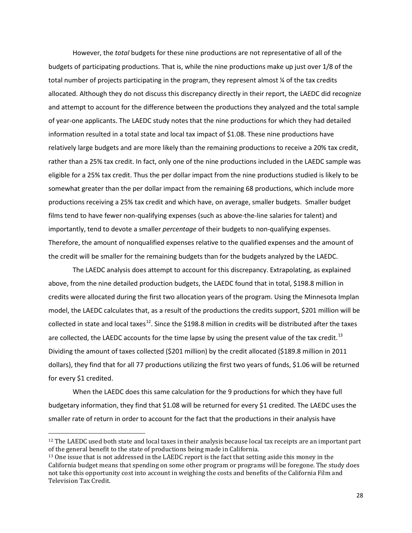However, the *total* budgets for these nine productions are not representative of all of the budgets of participating productions. That is, while the nine productions make up just over 1/8 of the total number of projects participating in the program, they represent almost ¼ of the tax credits allocated. Although they do not discuss this discrepancy directly in their report, the LAEDC did recognize and attempt to account for the difference between the productions they analyzed and the total sample of year-one applicants. The LAEDC study notes that the nine productions for which they had detailed information resulted in a total state and local tax impact of \$1.08. These nine productions have relatively large budgets and are more likely than the remaining productions to receive a 20% tax credit, rather than a 25% tax credit. In fact, only one of the nine productions included in the LAEDC sample was eligible for a 25% tax credit. Thus the per dollar impact from the nine productions studied is likely to be somewhat greater than the per dollar impact from the remaining 68 productions, which include more productions receiving a 25% tax credit and which have, on average, smaller budgets. Smaller budget films tend to have fewer non-qualifying expenses (such as above-the-line salaries for talent) and importantly, tend to devote a smaller *percentage* of their budgets to non-qualifying expenses. Therefore, the amount of nonqualified expenses relative to the qualified expenses and the amount of the credit will be smaller for the remaining budgets than for the budgets analyzed by the LAEDC.

The LAEDC analysis does attempt to account for this discrepancy. Extrapolating, as explained above, from the nine detailed production budgets, the LAEDC found that in total, \$198.8 million in credits were allocated during the first two allocation years of the program. Using the Minnesota Implan model, the LAEDC calculates that, as a result of the productions the credits support, \$201 million will be collected in state and local taxes<sup>[12](#page-29-0)</sup>. Since the \$198.8 million in credits will be distributed after the taxes are collected, the LAEDC accounts for the time lapse by using the present value of the tax credit.<sup>[13](#page-29-1)</sup> Dividing the amount of taxes collected (\$201 million) by the credit allocated (\$189.8 million in 2011 dollars), they find that for all 77 productions utilizing the first two years of funds, \$1.06 will be returned for every \$1 credited.

When the LAEDC does this same calculation for the 9 productions for which they have full budgetary information, they find that \$1.08 will be returned for every \$1 credited. The LAEDC uses the smaller rate of return in order to account for the fact that the productions in their analysis have

 $\overline{a}$ 

<span id="page-29-0"></span><sup>&</sup>lt;sup>12</sup> The LAEDC used both state and local taxes in their analysis because local tax receipts are an important part of the general benefit to the state of productions being made in California.

<span id="page-29-1"></span><sup>&</sup>lt;sup>13</sup> One issue that is not addressed in the LAEDC report is the fact that setting aside this money in the California budget means that spending on some other program or programs will be foregone. The study does not take this opportunity cost into account in weighing the costs and benefits of the California Film and Television Tax Credit.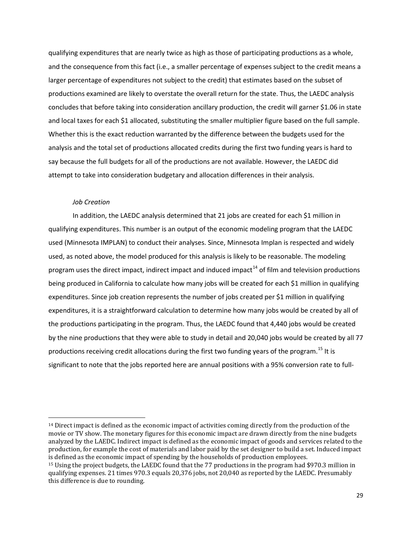qualifying expenditures that are nearly twice as high as those of participating productions as a whole, and the consequence from this fact (i.e., a smaller percentage of expenses subject to the credit means a larger percentage of expenditures not subject to the credit) that estimates based on the subset of productions examined are likely to overstate the overall return for the state. Thus, the LAEDC analysis concludes that before taking into consideration ancillary production, the credit will garner \$1.06 in state and local taxes for each \$1 allocated, substituting the smaller multiplier figure based on the full sample. Whether this is the exact reduction warranted by the difference between the budgets used for the analysis and the total set of productions allocated credits during the first two funding years is hard to say because the full budgets for all of the productions are not available. However, the LAEDC did attempt to take into consideration budgetary and allocation differences in their analysis.

# *Job Creation*

 $\overline{a}$ 

In addition, the LAEDC analysis determined that 21 jobs are created for each \$1 million in qualifying expenditures. This number is an output of the economic modeling program that the LAEDC used (Minnesota IMPLAN) to conduct their analyses. Since, Minnesota Implan is respected and widely used, as noted above, the model produced for this analysis is likely to be reasonable. The modeling program uses the direct impact, indirect impact and induced impact<sup>[14](#page-30-0)</sup> of film and television productions being produced in California to calculate how many jobs will be created for each \$1 million in qualifying expenditures. Since job creation represents the number of jobs created per \$1 million in qualifying expenditures, it is a straightforward calculation to determine how many jobs would be created by all of the productions participating in the program. Thus, the LAEDC found that 4,440 jobs would be created by the nine productions that they were able to study in detail and 20,040 jobs would be created by all 77 productions receiving credit allocations during the first two funding years of the program.<sup>[15](#page-30-1)</sup> It is significant to note that the jobs reported here are annual positions with a 95% conversion rate to full-

<span id="page-30-0"></span><sup>&</sup>lt;sup>14</sup> Direct impact is defined as the economic impact of activities coming directly from the production of the movie or TV show. The monetary figures for this economic impact are drawn directly from the nine budgets analyzed by the LAEDC. Indirect impact is defined as the economic impact of goods and services related to the production, for example the cost of materials and labor paid by the set designer to build a set. Induced impact is defined as the economic impact of spending by the households of production employees.

<span id="page-30-1"></span><sup>15</sup> Using the project budgets, the LAEDC found that the 77 productions in the program had \$970.3 million in qualifying expenses. 21 times 970.3 equals 20,376 jobs, not 20,040 as reported by the LAEDC. Presumably this difference is due to rounding.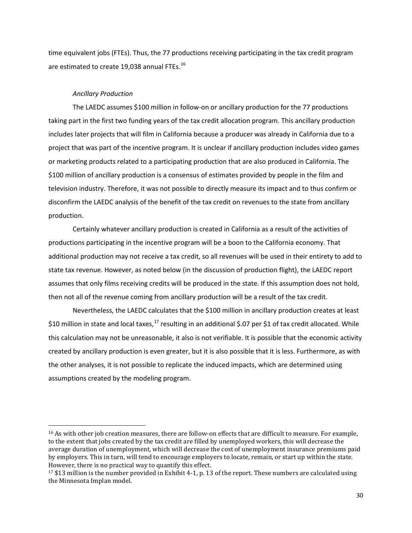time equivalent jobs (FTEs). Thus, the 77 productions receiving participating in the tax credit program are estimated to create 19,038 annual FTEs.<sup>[16](#page-31-0)</sup>

# *Ancillary Production*

 $\overline{a}$ 

The LAEDC assumes \$100 million in follow-on or ancillary production for the 77 productions taking part in the first two funding years of the tax credit allocation program. This ancillary production includes later projects that will film in California because a producer was already in California due to a project that was part of the incentive program. It is unclear if ancillary production includes video games or marketing products related to a participating production that are also produced in California. The \$100 million of ancillary production is a consensus of estimates provided by people in the film and television industry. Therefore, it was not possible to directly measure its impact and to thus confirm or disconfirm the LAEDC analysis of the benefit of the tax credit on revenues to the state from ancillary production.

Certainly whatever ancillary production is created in California as a result of the activities of productions participating in the incentive program will be a boon to the California economy. That additional production may not receive a tax credit, so all revenues will be used in their entirety to add to state tax revenue. However, as noted below (in the discussion of production flight), the LAEDC report assumes that only films receiving credits will be produced in the state. If this assumption does not hold, then not all of the revenue coming from ancillary production will be a result of the tax credit.

Nevertheless, the LAEDC calculates that the \$100 million in ancillary production creates at least \$10 million in state and local taxes,<sup>[17](#page-31-1)</sup> resulting in an additional \$.07 per \$1 of tax credit allocated. While this calculation may not be unreasonable, it also is not verifiable. It is possible that the economic activity created by ancillary production is even greater, but it is also possible that it is less. Furthermore, as with the other analyses, it is not possible to replicate the induced impacts, which are determined using assumptions created by the modeling program.

<span id="page-31-0"></span><sup>16</sup> As with other job creation measures, there are follow-on effects that are difficult to measure. For example, to the extent that jobs created by the tax credit are filled by unemployed workers, this will decrease the average duration of unemployment, which will decrease the cost of unemployment insurance premiums paid by employers. This in turn, will tend to encourage employers to locate, remain, or start up within the state. However, there is no practical way to quantify this effect.

<span id="page-31-1"></span><sup>17</sup> \$13 million is the number provided in Exhibit 4-1, p. 13 of the report. These numbers are calculated using the Minnesota Implan model.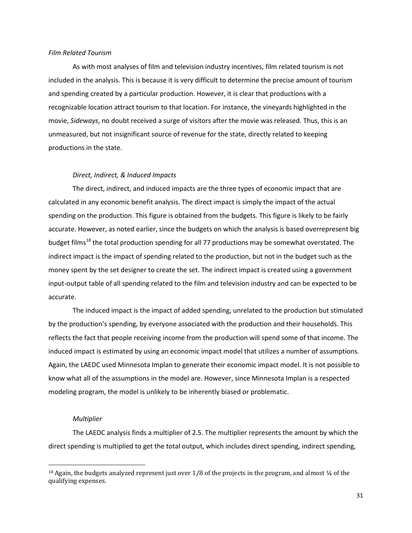# *Film Related Tourism*

As with most analyses of film and television industry incentives, film related tourism is not included in the analysis. This is because it is very difficult to determine the precise amount of tourism and spending created by a particular production. However, it is clear that productions with a recognizable location attract tourism to that location. For instance, the vineyards highlighted in the movie, *Sideways*, no doubt received a surge of visitors after the movie was released. Thus, this is an unmeasured, but not insignificant source of revenue for the state, directly related to keeping productions in the state.

# *Direct, Indirect, & Induced Impacts*

The direct, indirect, and induced impacts are the three types of economic impact that are calculated in any economic benefit analysis. The direct impact is simply the impact of the actual spending on the production. This figure is obtained from the budgets. This figure is likely to be fairly accurate. However, as noted earlier, since the budgets on which the analysis is based overrepresent big budget films<sup>[18](#page-32-0)</sup> the total production spending for all 77 productions may be somewhat overstated. The indirect impact is the impact of spending related to the production, but not in the budget such as the money spent by the set designer to create the set. The indirect impact is created using a government input-output table of all spending related to the film and television industry and can be expected to be accurate.

The induced impact is the impact of added spending, unrelated to the production but stimulated by the production's spending, by everyone associated with the production and their households. This reflects the fact that people receiving income from the production will spend some of that income. The induced impact is estimated by using an economic impact model that utilizes a number of assumptions. Again, the LAEDC used Minnesota Implan to generate their economic impact model. It is not possible to know what all of the assumptions in the model are. However, since Minnesota Implan is a respected modeling program, the model is unlikely to be inherently biased or problematic.

# *Multiplier*

 $\overline{a}$ 

The LAEDC analysis finds a multiplier of 2.5. The multiplier represents the amount by which the direct spending is multiplied to get the total output, which includes direct spending, indirect spending,

<span id="page-32-0"></span> $18$  Again, the budgets analyzed represent just over 1/8 of the projects in the program, and almost  $\frac{1}{4}$  of the qualifying expenses.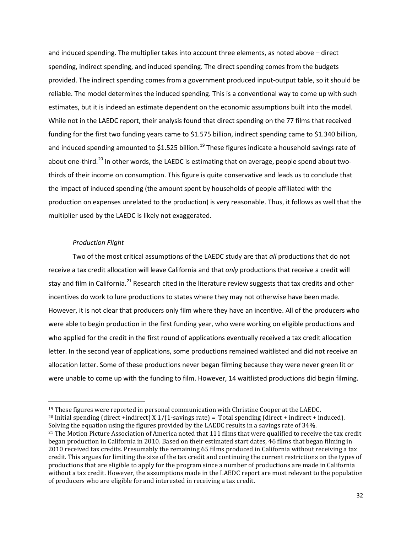and induced spending. The multiplier takes into account three elements, as noted above – direct spending, indirect spending, and induced spending. The direct spending comes from the budgets provided. The indirect spending comes from a government produced input-output table, so it should be reliable. The model determines the induced spending. This is a conventional way to come up with such estimates, but it is indeed an estimate dependent on the economic assumptions built into the model. While not in the LAEDC report, their analysis found that direct spending on the 77 films that received funding for the first two funding years came to \$1.575 billion, indirect spending came to \$1.340 billion, and induced spending amounted to \$1.525 billion.<sup>[19](#page-33-0)</sup> These figures indicate a household savings rate of about one-third.<sup>[20](#page-33-1)</sup> In other words, the LAEDC is estimating that on average, people spend about twothirds of their income on consumption. This figure is quite conservative and leads us to conclude that the impact of induced spending (the amount spent by households of people affiliated with the production on expenses unrelated to the production) is very reasonable. Thus, it follows as well that the multiplier used by the LAEDC is likely not exaggerated.

# *Production Flight*

 $\overline{a}$ 

Two of the most critical assumptions of the LAEDC study are that *all* productions that do not receive a tax credit allocation will leave California and that *only* productions that receive a credit will stay and film in California.<sup>[21](#page-33-2)</sup> Research cited in the literature review suggests that tax credits and other incentives do work to lure productions to states where they may not otherwise have been made. However, it is not clear that producers only film where they have an incentive. All of the producers who were able to begin production in the first funding year, who were working on eligible productions and who applied for the credit in the first round of applications eventually received a tax credit allocation letter. In the second year of applications, some productions remained waitlisted and did not receive an allocation letter. Some of these productions never began filming because they were never green lit or were unable to come up with the funding to film. However, 14 waitlisted productions did begin filming.

<span id="page-33-0"></span><sup>&</sup>lt;sup>19</sup> These figures were reported in personal communication with Christine Cooper at the LAEDC.

<span id="page-33-1"></span><sup>&</sup>lt;sup>20</sup> Initial spending (direct +indirect) X 1/(1-savings rate) = Total spending (direct + indirect + induced). Solving the equation using the figures provided by the LAEDC results in a savings rate of 34%.

<span id="page-33-2"></span><sup>&</sup>lt;sup>21</sup> The Motion Picture Association of America noted that 111 films that were qualified to receive the tax credit began production in California in 2010. Based on their estimated start dates, 46 films that began filming in 2010 received tax credits. Presumably the remaining 65 films produced in California without receiving a tax credit. This argues for limiting the size of the tax credit and continuing the current restrictions on the types of productions that are eligible to apply for the program since a number of productions are made in California without a tax credit. However, the assumptions made in the LAEDC report are most relevant to the population of producers who are eligible for and interested in receiving a tax credit.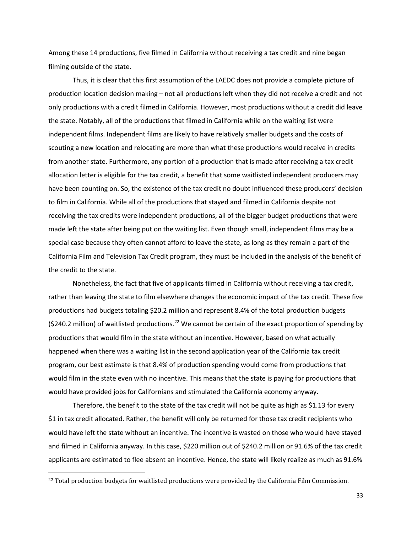Among these 14 productions, five filmed in California without receiving a tax credit and nine began filming outside of the state.

Thus, it is clear that this first assumption of the LAEDC does not provide a complete picture of production location decision making – not all productions left when they did not receive a credit and not only productions with a credit filmed in California. However, most productions without a credit did leave the state. Notably, all of the productions that filmed in California while on the waiting list were independent films. Independent films are likely to have relatively smaller budgets and the costs of scouting a new location and relocating are more than what these productions would receive in credits from another state. Furthermore, any portion of a production that is made after receiving a tax credit allocation letter is eligible for the tax credit, a benefit that some waitlisted independent producers may have been counting on. So, the existence of the tax credit no doubt influenced these producers' decision to film in California. While all of the productions that stayed and filmed in California despite not receiving the tax credits were independent productions, all of the bigger budget productions that were made left the state after being put on the waiting list. Even though small, independent films may be a special case because they often cannot afford to leave the state, as long as they remain a part of the California Film and Television Tax Credit program, they must be included in the analysis of the benefit of the credit to the state.

Nonetheless, the fact that five of applicants filmed in California without receiving a tax credit, rather than leaving the state to film elsewhere changes the economic impact of the tax credit. These five productions had budgets totaling \$20.2 million and represent 8.4% of the total production budgets (\$240.2 million) of waitlisted productions.<sup>[22](#page-34-0)</sup> We cannot be certain of the exact proportion of spending by productions that would film in the state without an incentive. However, based on what actually happened when there was a waiting list in the second application year of the California tax credit program, our best estimate is that 8.4% of production spending would come from productions that would film in the state even with no incentive. This means that the state is paying for productions that would have provided jobs for Californians and stimulated the California economy anyway.

Therefore, the benefit to the state of the tax credit will not be quite as high as \$1.13 for every \$1 in tax credit allocated. Rather, the benefit will only be returned for those tax credit recipients who would have left the state without an incentive. The incentive is wasted on those who would have stayed and filmed in California anyway. In this case, \$220 million out of \$240.2 million or 91.6% of the tax credit applicants are estimated to flee absent an incentive. Hence, the state will likely realize as much as 91.6%

 $\overline{a}$ 

<span id="page-34-0"></span><sup>&</sup>lt;sup>22</sup> Total production budgets for waitlisted productions were provided by the California Film Commission.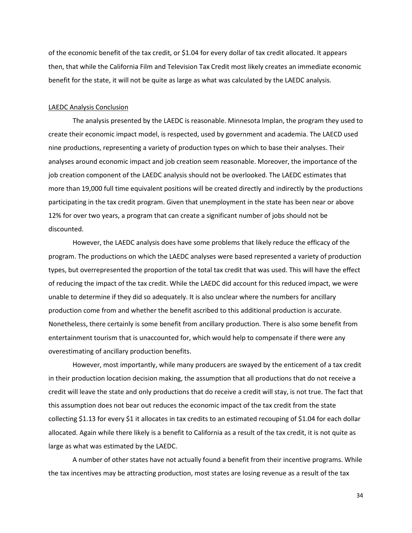of the economic benefit of the tax credit, or \$1.04 for every dollar of tax credit allocated. It appears then, that while the California Film and Television Tax Credit most likely creates an immediate economic benefit for the state, it will not be quite as large as what was calculated by the LAEDC analysis.

# LAEDC Analysis Conclusion

The analysis presented by the LAEDC is reasonable. Minnesota Implan, the program they used to create their economic impact model, is respected, used by government and academia. The LAECD used nine productions, representing a variety of production types on which to base their analyses. Their analyses around economic impact and job creation seem reasonable. Moreover, the importance of the job creation component of the LAEDC analysis should not be overlooked. The LAEDC estimates that more than 19,000 full time equivalent positions will be created directly and indirectly by the productions participating in the tax credit program. Given that unemployment in the state has been near or above 12% for over two years, a program that can create a significant number of jobs should not be discounted.

However, the LAEDC analysis does have some problems that likely reduce the efficacy of the program. The productions on which the LAEDC analyses were based represented a variety of production types, but overrepresented the proportion of the total tax credit that was used. This will have the effect of reducing the impact of the tax credit. While the LAEDC did account for this reduced impact, we were unable to determine if they did so adequately. It is also unclear where the numbers for ancillary production come from and whether the benefit ascribed to this additional production is accurate. Nonetheless, there certainly is some benefit from ancillary production. There is also some benefit from entertainment tourism that is unaccounted for, which would help to compensate if there were any overestimating of ancillary production benefits.

However, most importantly, while many producers are swayed by the enticement of a tax credit in their production location decision making, the assumption that all productions that do not receive a credit will leave the state and only productions that do receive a credit will stay, is not true. The fact that this assumption does not bear out reduces the economic impact of the tax credit from the state collecting \$1.13 for every \$1 it allocates in tax credits to an estimated recouping of \$1.04 for each dollar allocated. Again while there likely is a benefit to California as a result of the tax credit, it is not quite as large as what was estimated by the LAEDC.

A number of other states have not actually found a benefit from their incentive programs. While the tax incentives may be attracting production, most states are losing revenue as a result of the tax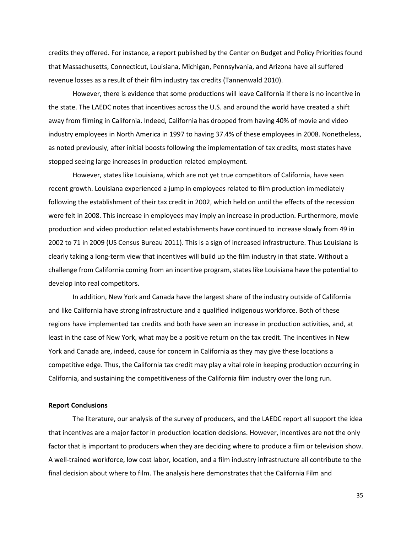credits they offered. For instance, a report published by the Center on Budget and Policy Priorities found that Massachusetts, Connecticut, Louisiana, Michigan, Pennsylvania, and Arizona have all suffered revenue losses as a result of their film industry tax credits (Tannenwald 2010).

However, there is evidence that some productions will leave California if there is no incentive in the state. The LAEDC notes that incentives across the U.S. and around the world have created a shift away from filming in California. Indeed, California has dropped from having 40% of movie and video industry employees in North America in 1997 to having 37.4% of these employees in 2008. Nonetheless, as noted previously, after initial boosts following the implementation of tax credits, most states have stopped seeing large increases in production related employment.

However, states like Louisiana, which are not yet true competitors of California, have seen recent growth. Louisiana experienced a jump in employees related to film production immediately following the establishment of their tax credit in 2002, which held on until the effects of the recession were felt in 2008. This increase in employees may imply an increase in production. Furthermore, movie production and video production related establishments have continued to increase slowly from 49 in 2002 to 71 in 2009 (US Census Bureau 2011). This is a sign of increased infrastructure. Thus Louisiana is clearly taking a long-term view that incentives will build up the film industry in that state. Without a challenge from California coming from an incentive program, states like Louisiana have the potential to develop into real competitors.

In addition, New York and Canada have the largest share of the industry outside of California and like California have strong infrastructure and a qualified indigenous workforce. Both of these regions have implemented tax credits and both have seen an increase in production activities, and, at least in the case of New York, what may be a positive return on the tax credit. The incentives in New York and Canada are, indeed, cause for concern in California as they may give these locations a competitive edge. Thus, the California tax credit may play a vital role in keeping production occurring in California, and sustaining the competitiveness of the California film industry over the long run.

# **Report Conclusions**

The literature, our analysis of the survey of producers, and the LAEDC report all support the idea that incentives are a major factor in production location decisions. However, incentives are not the only factor that is important to producers when they are deciding where to produce a film or television show. A well-trained workforce, low cost labor, location, and a film industry infrastructure all contribute to the final decision about where to film. The analysis here demonstrates that the California Film and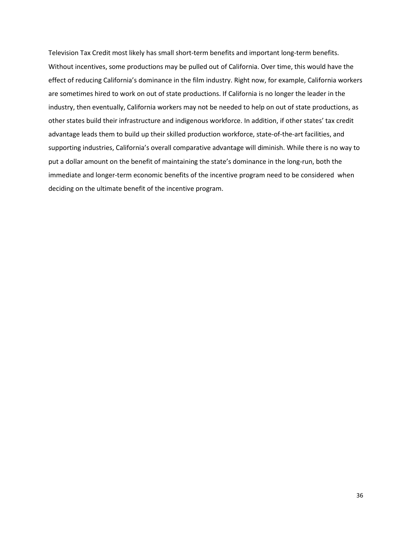Television Tax Credit most likely has small short-term benefits and important long-term benefits. Without incentives, some productions may be pulled out of California. Over time, this would have the effect of reducing California's dominance in the film industry. Right now, for example, California workers are sometimes hired to work on out of state productions. If California is no longer the leader in the industry, then eventually, California workers may not be needed to help on out of state productions, as other states build their infrastructure and indigenous workforce. In addition, if other states' tax credit advantage leads them to build up their skilled production workforce, state-of-the-art facilities, and supporting industries, California's overall comparative advantage will diminish. While there is no way to put a dollar amount on the benefit of maintaining the state's dominance in the long-run, both the immediate and longer-term economic benefits of the incentive program need to be considered when deciding on the ultimate benefit of the incentive program.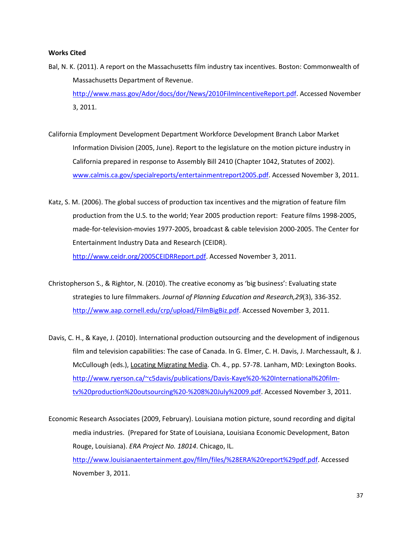# **Works Cited**

- Bal, N. K. (2011). A report on the Massachusetts film industry tax incentives. Boston: Commonwealth of Massachusetts Department of Revenue. [http://www.mass.gov/Ador/docs/dor/News/2010FilmIncentiveReport.pdf.](http://www.mass.gov/Ador/docs/dor/News/2010FilmIncentiveReport.pdf) Accessed November 3, 2011.
- California Employment Development Department Workforce Development Branch Labor Market Information Division (2005, June). Report to the legislature on the motion picture industry in California prepared in response to Assembly Bill 2410 (Chapter 1042, Statutes of 2002). [www.calmis.ca.gov/specialreports/entertainmentreport2005.pdf.](http://www.calmis.ca.gov/specialreports/entertainmentreport2005.pdf) Accessed November 3, 2011.
- Katz, S. M. (2006). The global success of production tax incentives and the migration of feature film production from the U.S. to the world; Year 2005 production report: Feature films 1998-2005, made-for-television-movies 1977-2005, broadcast & cable television 2000-2005. The Center for Entertainment Industry Data and Research (CEIDR). [http://www.ceidr.org/2005CEIDRReport.pdf.](http://www.ceidr.org/2005CEIDRReport.pdf) Accessed November 3, 2011.
- Christopherson S., & Rightor, N. (2010). The creative economy as 'big business': Evaluating state strategies to lure filmmakers. *Journal of Planning Education and Research,29*(3), 336-352. [http://www.aap.cornell.edu/crp/upload/FilmBigBiz.pdf.](http://www.aap.cornell.edu/crp/upload/FilmBigBiz.pdf) Accessed November 3, 2011.
- Davis, C. H., & Kaye, J. (2010). International production outsourcing and the development of indigenous film and television capabilities: The case of Canada. In G. Elmer, C. H. Davis, J. Marchessault, & J. McCullough (eds.), Locating Migrating Media. Ch. 4., pp. 57-78. Lanham, MD: Lexington Books. [http://www.ryerson.ca/~c5davis/publications/Davis-Kaye%20-%20International%20film](http://www.ryerson.ca/~c5davis/publications/Davis-Kaye%20-%20International%20film-tv%20production%20outsourcing%20-%208%20July%2009.pdf)[tv%20production%20outsourcing%20-%208%20July%2009.pdf.](http://www.ryerson.ca/~c5davis/publications/Davis-Kaye%20-%20International%20film-tv%20production%20outsourcing%20-%208%20July%2009.pdf) Accessed November 3, 2011.

Economic Research Associates (2009, February). Louisiana motion picture, sound recording and digital media industries. (Prepared for State of Louisiana, Louisiana Economic Development, Baton Rouge, Louisiana). *ERA Project No. 18014*. Chicago, IL. [http://www.louisianaentertainment.gov/film/files/%28ERA%20report%29pdf.pdf.](http://www.louisianaentertainment.gov/film/files/%28ERA%20report%29pdf.pdf) Accessed November 3, 2011.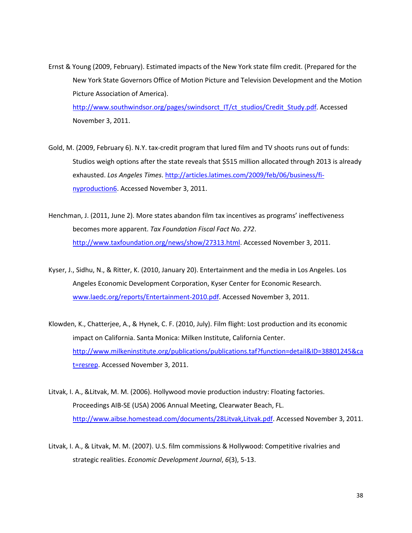Ernst & Young (2009, February). Estimated impacts of the New York state film credit. (Prepared for the New York State Governors Office of Motion Picture and Television Development and the Motion Picture Association of America).

[http://www.southwindsor.org/pages/swindsorct\\_IT/ct\\_studios/Credit\\_Study.pdf.](http://www.southwindsor.org/pages/swindsorct_IT/ct_studios/Credit_Study.pdf) Accessed November 3, 2011.

- Gold, M. (2009, February 6). N.Y. tax-credit program that lured film and TV shoots runs out of funds: Studios weigh options after the state reveals that \$515 million allocated through 2013 is already exhausted. *Los Angeles Times*. [http://articles.latimes.com/2009/feb/06/business/fi](http://articles.latimes.com/2009/feb/06/business/fi-nyproduction6)[nyproduction6.](http://articles.latimes.com/2009/feb/06/business/fi-nyproduction6) Accessed November 3, 2011.
- Henchman, J. (2011, June 2). More states abandon film tax incentives as programs' ineffectiveness becomes more apparent. *Tax Foundation Fiscal Fact No. 272*. [http://www.taxfoundation.org/news/show/27313.html.](http://www.taxfoundation.org/news/show/27313.html) Accessed November 3, 2011.
- Kyser, J., Sidhu, N., & Ritter, K. (2010, January 20). Entertainment and the media in Los Angeles. Los Angeles Economic Development Corporation, Kyser Center for Economic Research. [www.laedc.org/reports/Entertainment-2010.pdf.](http://www.laedc.org/reports/Entertainment-2010.pdf) Accessed November 3, 2011.
- Klowden, K., Chatterjee, A., & Hynek, C. F. (2010, July). Film flight: Lost production and its economic impact on California. Santa Monica: Milken Institute, California Center. [http://www.milkeninstitute.org/publications/publications.taf?function=detail&ID=38801245&ca](http://www.milkeninstitute.org/publications/publications.taf?function=detail&ID=38801245&cat=resrep) [t=resrep.](http://www.milkeninstitute.org/publications/publications.taf?function=detail&ID=38801245&cat=resrep) Accessed November 3, 2011.
- Litvak, I. A., &Litvak, M. M. (2006). Hollywood movie production industry: Floating factories. Proceedings AIB-SE (USA) 2006 Annual Meeting, Clearwater Beach, FL. [http://www.aibse.homestead.com/documents/28Litvak,Litvak.pdf.](http://www.aibse.homestead.com/documents/28Litvak,Litvak.pdf) Accessed November 3, 2011.
- Litvak, I. A., & Litvak, M. M. (2007). U.S. film commissions & Hollywood: Competitive rivalries and strategic realities. *Economic Development Journal*, *6*(3), 5-13.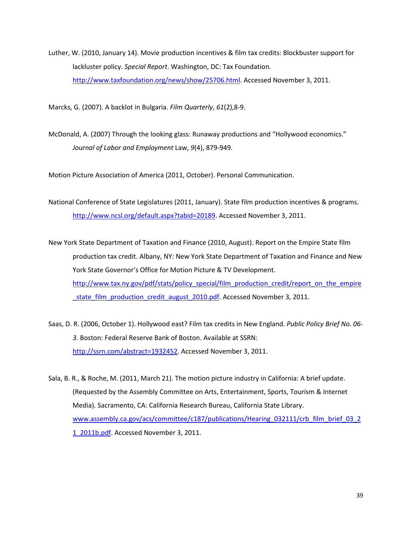Luther, W. (2010, January 14). Movie production incentives & film tax credits: Blockbuster support for lackluster policy. *Special Report*. Washington, DC: Tax Foundation*.* [http://www.taxfoundation.org/news/show/25706.html.](http://www.taxfoundation.org/news/show/25706.html) Accessed November 3, 2011.

Marcks, G. (2007). A backlot in Bulgaria. *Film Quarterly*, *61*(2),8-9.

McDonald, A. (2007) Through the looking glass: Runaway productions and "Hollywood economics." *Journal of Labor and Employment* Law, *9*(4), 879-949.

Motion Picture Association of America (2011, October). Personal Communication.

National Conference of State Legislatures (2011, January). State film production incentives & programs. [http://www.ncsl.org/default.aspx?tabid=20189.](http://www.ncsl.org/default.aspx?tabid=20189) Accessed November 3, 2011.

New York State Department of Taxation and Finance (2010, August). Report on the Empire State film production tax credit. Albany, NY: New York State Department of Taxation and Finance and New York State Governor's Office for Motion Picture & TV Development. [http://www.tax.ny.gov/pdf/stats/policy\\_special/film\\_production\\_credit/report\\_on\\_the\\_empire](http://www.tax.ny.gov/pdf/stats/policy_special/film_production_credit/report_on_the_empire_state_film_production_credit_august_2010.pdf) state\_film\_production\_credit\_august\_2010.pdf. Accessed November 3, 2011.

Saas, D. R. (2006, October 1). Hollywood east? Film tax credits in New England. *Public Policy Brief No. 06- 3*. Boston: Federal Reserve Bank of Boston. Available at SSRN: [http://ssrn.com/abstract=1932452.](http://ssrn.com/abstract=1932452) Accessed November 3, 2011.

Sala, B. R., & Roche, M. (2011, March 21). The motion picture industry in California: A brief update. (Requested by the Assembly Committee on Arts, Entertainment, Sports, Tourism & Internet Media). Sacramento, CA: California Research Bureau, California State Library. [www.assembly.ca.gov/acs/committee/c187/publications/Hearing\\_032111/crb\\_film\\_brief\\_03\\_2](http://www.assembly.ca.gov/acs/committee/c187/publications/Hearing_032111/crb_film_brief_03_21_2011b.pdf) [1\\_2011b.pdf.](http://www.assembly.ca.gov/acs/committee/c187/publications/Hearing_032111/crb_film_brief_03_21_2011b.pdf) Accessed November 3, 2011.